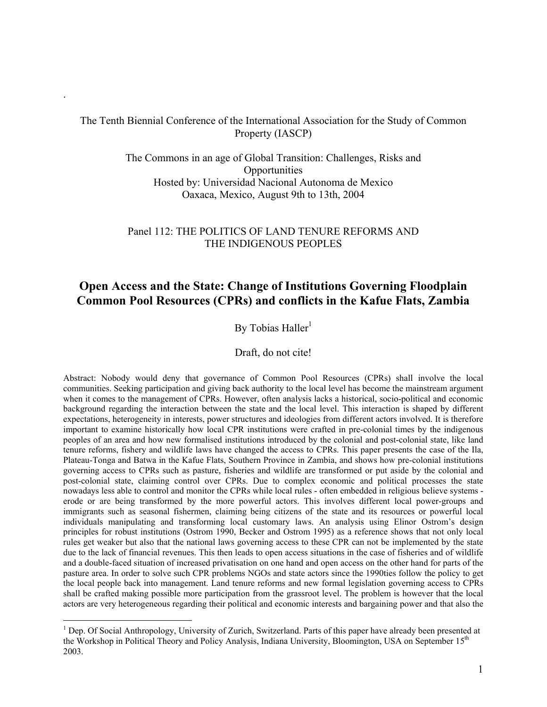# The Tenth Biennial Conference of the International Association for the Study of Common Property (IASCP)

.

1

The Commons in an age of Global Transition: Challenges, Risks and **Opportunities** Hosted by: Universidad Nacional Autonoma de Mexico Oaxaca, Mexico, August 9th to 13th, 2004

#### Panel 112: THE POLITICS OF LAND TENURE REFORMS AND THE INDIGENOUS PEOPLES

# **Open Access and the State: Change of Institutions Governing Floodplain Common Pool Resources (CPRs) and conflicts in the Kafue Flats, Zambia**

# By Tobias Haller $<sup>1</sup>$ </sup>

#### Draft, do not cite!

Abstract: Nobody would deny that governance of Common Pool Resources (CPRs) shall involve the local communities. Seeking participation and giving back authority to the local level has become the mainstream argument when it comes to the management of CPRs. However, often analysis lacks a historical, socio-political and economic background regarding the interaction between the state and the local level. This interaction is shaped by different expectations, heterogeneity in interests, power structures and ideologies from different actors involved. It is therefore important to examine historically how local CPR institutions were crafted in pre-colonial times by the indigenous peoples of an area and how new formalised institutions introduced by the colonial and post-colonial state, like land tenure reforms, fishery and wildlife laws have changed the access to CPRs. This paper presents the case of the Ila, Plateau-Tonga and Batwa in the Kafue Flats, Southern Province in Zambia, and shows how pre-colonial institutions governing access to CPRs such as pasture, fisheries and wildlife are transformed or put aside by the colonial and post-colonial state, claiming control over CPRs. Due to complex economic and political processes the state nowadays less able to control and monitor the CPRs while local rules - often embedded in religious believe systems erode or are being transformed by the more powerful actors. This involves different local power-groups and immigrants such as seasonal fishermen, claiming being citizens of the state and its resources or powerful local individuals manipulating and transforming local customary laws. An analysis using Elinor Ostrom's design principles for robust institutions (Ostrom 1990, Becker and Ostrom 1995) as a reference shows that not only local rules get weaker but also that the national laws governing access to these CPR can not be implemented by the state due to the lack of financial revenues. This then leads to open access situations in the case of fisheries and of wildlife and a double-faced situation of increased privatisation on one hand and open access on the other hand for parts of the pasture area. In order to solve such CPR problems NGOs and state actors since the 1990ties follow the policy to get the local people back into management. Land tenure reforms and new formal legislation governing access to CPRs shall be crafted making possible more participation from the grassroot level. The problem is however that the local actors are very heterogeneous regarding their political and economic interests and bargaining power and that also the

<sup>&</sup>lt;sup>1</sup> Dep. Of Social Anthropology, University of Zurich, Switzerland. Parts of this paper have already been presented at the Workshop in Political Theory and Policy Analysis, Indiana University, Bloomington, USA on September 15<sup>th</sup> 2003.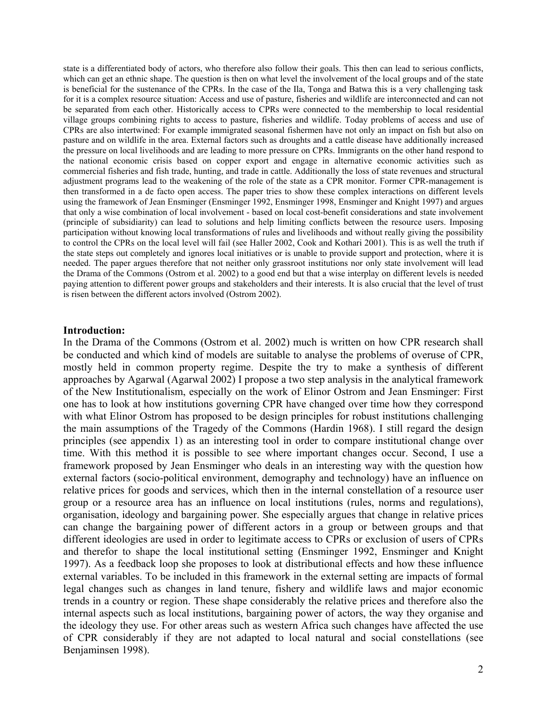state is a differentiated body of actors, who therefore also follow their goals. This then can lead to serious conflicts, which can get an ethnic shape. The question is then on what level the involvement of the local groups and of the state is beneficial for the sustenance of the CPRs. In the case of the Ila, Tonga and Batwa this is a very challenging task for it is a complex resource situation: Access and use of pasture, fisheries and wildlife are interconnected and can not be separated from each other. Historically access to CPRs were connected to the membership to local residential village groups combining rights to access to pasture, fisheries and wildlife. Today problems of access and use of CPRs are also intertwined: For example immigrated seasonal fishermen have not only an impact on fish but also on pasture and on wildlife in the area. External factors such as droughts and a cattle disease have additionally increased the pressure on local livelihoods and are leading to more pressure on CPRs. Immigrants on the other hand respond to the national economic crisis based on copper export and engage in alternative economic activities such as commercial fisheries and fish trade, hunting, and trade in cattle. Additionally the loss of state revenues and structural adjustment programs lead to the weakening of the role of the state as a CPR monitor. Former CPR-management is then transformed in a de facto open access. The paper tries to show these complex interactions on different levels using the framework of Jean Ensminger (Ensminger 1992, Ensminger 1998, Ensminger and Knight 1997) and argues that only a wise combination of local involvement - based on local cost-benefit considerations and state involvement (principle of subsidiarity) can lead to solutions and help limiting conflicts between the resource users. Imposing participation without knowing local transformations of rules and livelihoods and without really giving the possibility to control the CPRs on the local level will fail (see Haller 2002, Cook and Kothari 2001). This is as well the truth if the state steps out completely and ignores local initiatives or is unable to provide support and protection, where it is needed. The paper argues therefore that not neither only grassroot institutions nor only state involvement will lead the Drama of the Commons (Ostrom et al. 2002) to a good end but that a wise interplay on different levels is needed paying attention to different power groups and stakeholders and their interests. It is also crucial that the level of trust is risen between the different actors involved (Ostrom 2002).

#### **Introduction:**

In the Drama of the Commons (Ostrom et al. 2002) much is written on how CPR research shall be conducted and which kind of models are suitable to analyse the problems of overuse of CPR, mostly held in common property regime. Despite the try to make a synthesis of different approaches by Agarwal (Agarwal 2002) I propose a two step analysis in the analytical framework of the New Institutionalism, especially on the work of Elinor Ostrom and Jean Ensminger: First one has to look at how institutions governing CPR have changed over time how they correspond with what Elinor Ostrom has proposed to be design principles for robust institutions challenging the main assumptions of the Tragedy of the Commons (Hardin 1968). I still regard the design principles (see appendix 1) as an interesting tool in order to compare institutional change over time. With this method it is possible to see where important changes occur. Second, I use a framework proposed by Jean Ensminger who deals in an interesting way with the question how external factors (socio-political environment, demography and technology) have an influence on relative prices for goods and services, which then in the internal constellation of a resource user group or a resource area has an influence on local institutions (rules, norms and regulations), organisation, ideology and bargaining power. She especially argues that change in relative prices can change the bargaining power of different actors in a group or between groups and that different ideologies are used in order to legitimate access to CPRs or exclusion of users of CPRs and therefor to shape the local institutional setting (Ensminger 1992, Ensminger and Knight 1997). As a feedback loop she proposes to look at distributional effects and how these influence external variables. To be included in this framework in the external setting are impacts of formal legal changes such as changes in land tenure, fishery and wildlife laws and major economic trends in a country or region. These shape considerably the relative prices and therefore also the internal aspects such as local institutions, bargaining power of actors, the way they organise and the ideology they use. For other areas such as western Africa such changes have affected the use of CPR considerably if they are not adapted to local natural and social constellations (see Benjaminsen 1998).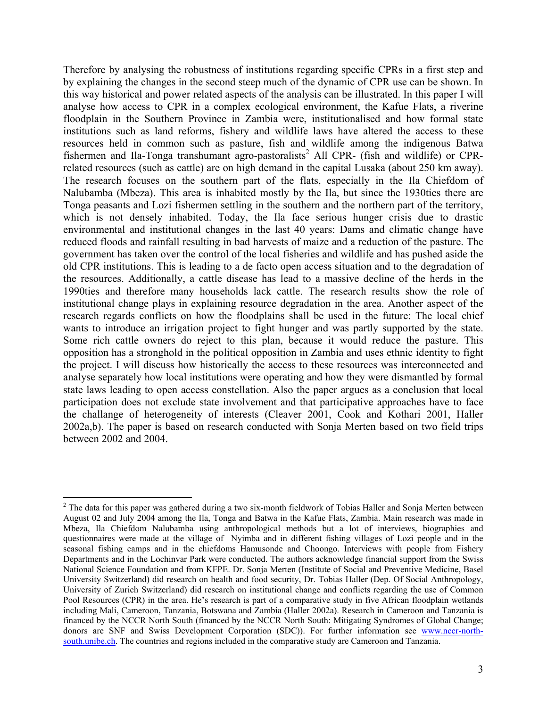Therefore by analysing the robustness of institutions regarding specific CPRs in a first step and by explaining the changes in the second steep much of the dynamic of CPR use can be shown. In this way historical and power related aspects of the analysis can be illustrated. In this paper I will analyse how access to CPR in a complex ecological environment, the Kafue Flats, a riverine floodplain in the Southern Province in Zambia were, institutionalised and how formal state institutions such as land reforms, fishery and wildlife laws have altered the access to these resources held in common such as pasture, fish and wildlife among the indigenous Batwa fishermen and Ila-Tonga transhumant agro-pastoralists<sup>2</sup> All CPR- (fish and wildlife) or CPRrelated resources (such as cattle) are on high demand in the capital Lusaka (about 250 km away). The research focuses on the southern part of the flats, especially in the Ila Chiefdom of Nalubamba (Mbeza). This area is inhabited mostly by the Ila, but since the 1930ties there are Tonga peasants and Lozi fishermen settling in the southern and the northern part of the territory, which is not densely inhabited. Today, the Ila face serious hunger crisis due to drastic environmental and institutional changes in the last 40 years: Dams and climatic change have reduced floods and rainfall resulting in bad harvests of maize and a reduction of the pasture. The government has taken over the control of the local fisheries and wildlife and has pushed aside the old CPR institutions. This is leading to a de facto open access situation and to the degradation of the resources. Additionally, a cattle disease has lead to a massive decline of the herds in the 1990ties and therefore many households lack cattle. The research results show the role of institutional change plays in explaining resource degradation in the area. Another aspect of the research regards conflicts on how the floodplains shall be used in the future: The local chief wants to introduce an irrigation project to fight hunger and was partly supported by the state. Some rich cattle owners do reject to this plan, because it would reduce the pasture. This opposition has a stronghold in the political opposition in Zambia and uses ethnic identity to fight the project. I will discuss how historically the access to these resources was interconnected and analyse separately how local institutions were operating and how they were dismantled by formal state laws leading to open access constellation. Also the paper argues as a conclusion that local participation does not exclude state involvement and that participative approaches have to face the challange of heterogeneity of interests (Cleaver 2001, Cook and Kothari 2001, Haller 2002a,b). The paper is based on research conducted with Sonja Merten based on two field trips between 2002 and 2004.

<sup>&</sup>lt;u>.</u>  $2$  The data for this paper was gathered during a two six-month fieldwork of Tobias Haller and Sonja Merten between August 02 and July 2004 among the Ila, Tonga and Batwa in the Kafue Flats, Zambia. Main research was made in Mbeza, Ila Chiefdom Nalubamba using anthropological methods but a lot of interviews, biographies and questionnaires were made at the village of Nyimba and in different fishing villages of Lozi people and in the seasonal fishing camps and in the chiefdoms Hamusonde and Choongo. Interviews with people from Fishery Departments and in the Lochinvar Park were conducted. The authors acknowledge financial support from the Swiss National Science Foundation and from KFPE. Dr. Sonja Merten (Institute of Social and Preventive Medicine, Basel University Switzerland) did research on health and food security, Dr. Tobias Haller (Dep. Of Social Anthropology, University of Zurich Switzerland) did research on institutional change and conflicts regarding the use of Common Pool Resources (CPR) in the area. He's research is part of a comparative study in five African floodplain wetlands including Mali, Cameroon, Tanzania, Botswana and Zambia (Haller 2002a). Research in Cameroon and Tanzania is financed by the NCCR North South (financed by the NCCR North South: Mitigating Syndromes of Global Change; donors are SNF and Swiss Development Corporation (SDC)). For further information see www.nccr-northsouth.unibe.ch. The countries and regions included in the comparative study are Cameroon and Tanzania.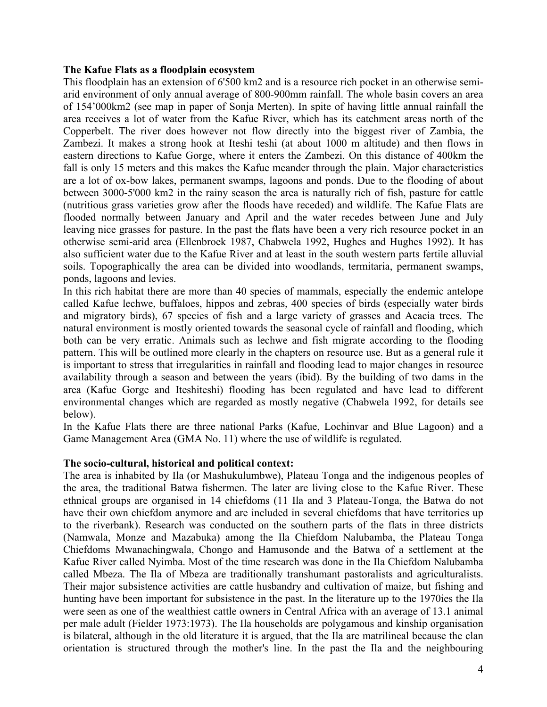#### **The Kafue Flats as a floodplain ecosystem**

This floodplain has an extension of 6'500 km2 and is a resource rich pocket in an otherwise semiarid environment of only annual average of 800-900mm rainfall. The whole basin covers an area of 154'000km2 (see map in paper of Sonja Merten). In spite of having little annual rainfall the area receives a lot of water from the Kafue River, which has its catchment areas north of the Copperbelt. The river does however not flow directly into the biggest river of Zambia, the Zambezi. It makes a strong hook at Iteshi teshi (at about 1000 m altitude) and then flows in eastern directions to Kafue Gorge, where it enters the Zambezi. On this distance of 400km the fall is only 15 meters and this makes the Kafue meander through the plain. Major characteristics are a lot of ox-bow lakes, permanent swamps, lagoons and ponds. Due to the flooding of about between 3000-5'000 km2 in the rainy season the area is naturally rich of fish, pasture for cattle (nutritious grass varieties grow after the floods have receded) and wildlife. The Kafue Flats are flooded normally between January and April and the water recedes between June and July leaving nice grasses for pasture. In the past the flats have been a very rich resource pocket in an otherwise semi-arid area (Ellenbroek 1987, Chabwela 1992, Hughes and Hughes 1992). It has also sufficient water due to the Kafue River and at least in the south western parts fertile alluvial soils. Topographically the area can be divided into woodlands, termitaria, permanent swamps, ponds, lagoons and levies.

In this rich habitat there are more than 40 species of mammals, especially the endemic antelope called Kafue lechwe, buffaloes, hippos and zebras, 400 species of birds (especially water birds and migratory birds), 67 species of fish and a large variety of grasses and Acacia trees. The natural environment is mostly oriented towards the seasonal cycle of rainfall and flooding, which both can be very erratic. Animals such as lechwe and fish migrate according to the flooding pattern. This will be outlined more clearly in the chapters on resource use. But as a general rule it is important to stress that irregularities in rainfall and flooding lead to major changes in resource availability through a season and between the years (ibid). By the building of two dams in the area (Kafue Gorge and Iteshiteshi) flooding has been regulated and have lead to different environmental changes which are regarded as mostly negative (Chabwela 1992, for details see below).

In the Kafue Flats there are three national Parks (Kafue, Lochinvar and Blue Lagoon) and a Game Management Area (GMA No. 11) where the use of wildlife is regulated.

# **The socio-cultural, historical and political context:**

The area is inhabited by Ila (or Mashukulumbwe), Plateau Tonga and the indigenous peoples of the area, the traditional Batwa fishermen. The later are living close to the Kafue River. These ethnical groups are organised in 14 chiefdoms (11 Ila and 3 Plateau-Tonga, the Batwa do not have their own chiefdom anymore and are included in several chiefdoms that have territories up to the riverbank). Research was conducted on the southern parts of the flats in three districts (Namwala, Monze and Mazabuka) among the Ila Chiefdom Nalubamba, the Plateau Tonga Chiefdoms Mwanachingwala, Chongo and Hamusonde and the Batwa of a settlement at the Kafue River called Nyimba. Most of the time research was done in the Ila Chiefdom Nalubamba called Mbeza. The Ila of Mbeza are traditionally transhumant pastoralists and agriculturalists. Their major subsistence activities are cattle husbandry and cultivation of maize, but fishing and hunting have been important for subsistence in the past. In the literature up to the 1970ies the Ila were seen as one of the wealthiest cattle owners in Central Africa with an average of 13.1 animal per male adult (Fielder 1973:1973). The Ila households are polygamous and kinship organisation is bilateral, although in the old literature it is argued, that the Ila are matrilineal because the clan orientation is structured through the mother's line. In the past the Ila and the neighbouring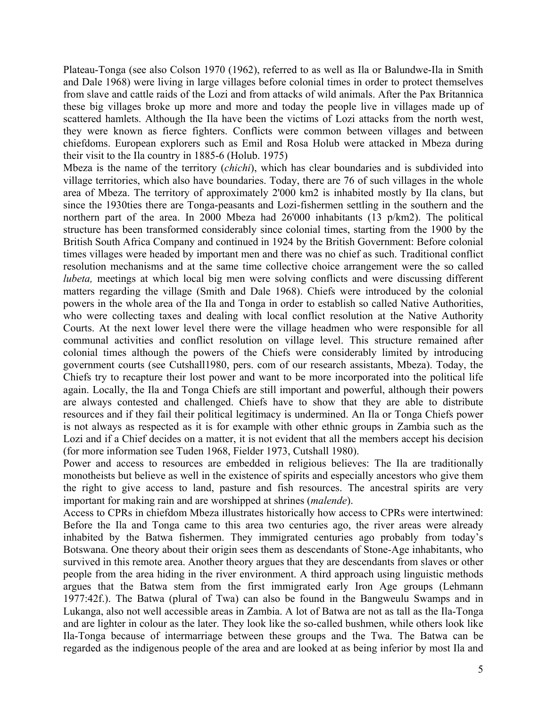Plateau-Tonga (see also Colson 1970 (1962), referred to as well as Ila or Balundwe-Ila in Smith and Dale 1968) were living in large villages before colonial times in order to protect themselves from slave and cattle raids of the Lozi and from attacks of wild animals. After the Pax Britannica these big villages broke up more and more and today the people live in villages made up of scattered hamlets. Although the Ila have been the victims of Lozi attacks from the north west, they were known as fierce fighters. Conflicts were common between villages and between chiefdoms. European explorers such as Emil and Rosa Holub were attacked in Mbeza during their visit to the Ila country in 1885-6 (Holub. 1975)

Mbeza is the name of the territory (*chichi*), which has clear boundaries and is subdivided into village territories, which also have boundaries. Today, there are 76 of such villages in the whole area of Mbeza. The territory of approximately 2'000 km2 is inhabited mostly by Ila clans, but since the 1930ties there are Tonga-peasants and Lozi-fishermen settling in the southern and the northern part of the area. In 2000 Mbeza had 26'000 inhabitants (13 p/km2). The political structure has been transformed considerably since colonial times, starting from the 1900 by the British South Africa Company and continued in 1924 by the British Government: Before colonial times villages were headed by important men and there was no chief as such. Traditional conflict resolution mechanisms and at the same time collective choice arrangement were the so called *lubeta*, meetings at which local big men were solving conflicts and were discussing different matters regarding the village (Smith and Dale 1968). Chiefs were introduced by the colonial powers in the whole area of the Ila and Tonga in order to establish so called Native Authorities, who were collecting taxes and dealing with local conflict resolution at the Native Authority Courts. At the next lower level there were the village headmen who were responsible for all communal activities and conflict resolution on village level. This structure remained after colonial times although the powers of the Chiefs were considerably limited by introducing government courts (see Cutshall1980, pers. com of our research assistants, Mbeza). Today, the Chiefs try to recapture their lost power and want to be more incorporated into the political life again. Locally, the Ila and Tonga Chiefs are still important and powerful, although their powers are always contested and challenged. Chiefs have to show that they are able to distribute resources and if they fail their political legitimacy is undermined. An Ila or Tonga Chiefs power is not always as respected as it is for example with other ethnic groups in Zambia such as the Lozi and if a Chief decides on a matter, it is not evident that all the members accept his decision (for more information see Tuden 1968, Fielder 1973, Cutshall 1980).

Power and access to resources are embedded in religious believes: The Ila are traditionally monotheists but believe as well in the existence of spirits and especially ancestors who give them the right to give access to land, pasture and fish resources. The ancestral spirits are very important for making rain and are worshipped at shrines (*malende*).

Access to CPRs in chiefdom Mbeza illustrates historically how access to CPRs were intertwined: Before the Ila and Tonga came to this area two centuries ago, the river areas were already inhabited by the Batwa fishermen. They immigrated centuries ago probably from today's Botswana. One theory about their origin sees them as descendants of Stone-Age inhabitants, who survived in this remote area. Another theory argues that they are descendants from slaves or other people from the area hiding in the river environment. A third approach using linguistic methods argues that the Batwa stem from the first immigrated early Iron Age groups (Lehmann 1977:42f.). The Batwa (plural of Twa) can also be found in the Bangweulu Swamps and in Lukanga, also not well accessible areas in Zambia. A lot of Batwa are not as tall as the Ila-Tonga and are lighter in colour as the later. They look like the so-called bushmen, while others look like Ila-Tonga because of intermarriage between these groups and the Twa. The Batwa can be regarded as the indigenous people of the area and are looked at as being inferior by most Ila and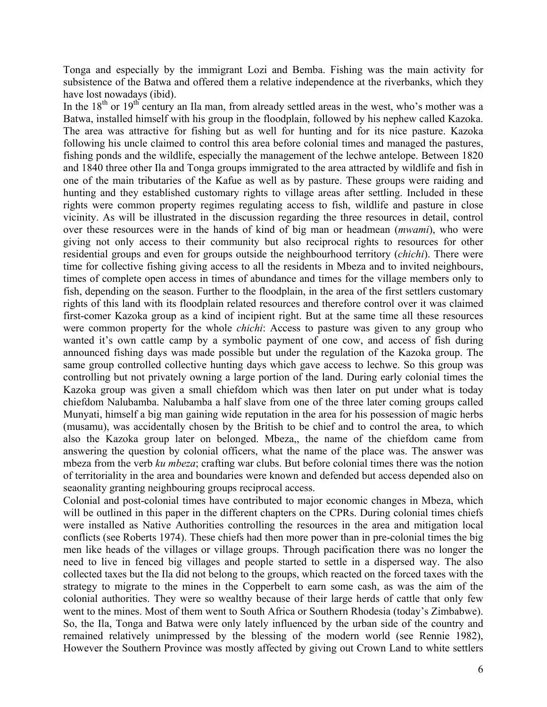Tonga and especially by the immigrant Lozi and Bemba. Fishing was the main activity for subsistence of the Batwa and offered them a relative independence at the riverbanks, which they have lost nowadays (ibid).

In the  $18<sup>th</sup>$  or  $19<sup>th</sup>$  century an Ila man, from already settled areas in the west, who's mother was a Batwa, installed himself with his group in the floodplain, followed by his nephew called Kazoka. The area was attractive for fishing but as well for hunting and for its nice pasture. Kazoka following his uncle claimed to control this area before colonial times and managed the pastures, fishing ponds and the wildlife, especially the management of the lechwe antelope. Between 1820 and 1840 three other Ila and Tonga groups immigrated to the area attracted by wildlife and fish in one of the main tributaries of the Kafue as well as by pasture. These groups were raiding and hunting and they established customary rights to village areas after settling. Included in these rights were common property regimes regulating access to fish, wildlife and pasture in close vicinity. As will be illustrated in the discussion regarding the three resources in detail, control over these resources were in the hands of kind of big man or headmean (*mwami*), who were giving not only access to their community but also reciprocal rights to resources for other residential groups and even for groups outside the neighbourhood territory (*chichi*). There were time for collective fishing giving access to all the residents in Mbeza and to invited neighbours, times of complete open access in times of abundance and times for the village members only to fish, depending on the season. Further to the floodplain, in the area of the first settlers customary rights of this land with its floodplain related resources and therefore control over it was claimed first-comer Kazoka group as a kind of incipient right. But at the same time all these resources were common property for the whole *chichi*: Access to pasture was given to any group who wanted it's own cattle camp by a symbolic payment of one cow, and access of fish during announced fishing days was made possible but under the regulation of the Kazoka group. The same group controlled collective hunting days which gave access to lechwe. So this group was controlling but not privately owning a large portion of the land. During early colonial times the Kazoka group was given a small chiefdom which was then later on put under what is today chiefdom Nalubamba. Nalubamba a half slave from one of the three later coming groups called Munyati, himself a big man gaining wide reputation in the area for his possession of magic herbs (musamu), was accidentally chosen by the British to be chief and to control the area, to which also the Kazoka group later on belonged. Mbeza,, the name of the chiefdom came from answering the question by colonial officers, what the name of the place was. The answer was mbeza from the verb *ku mbeza*; crafting war clubs. But before colonial times there was the notion of territoriality in the area and boundaries were known and defended but access depended also on seaonality granting neighbouring groups reciprocal access.

Colonial and post-colonial times have contributed to major economic changes in Mbeza, which will be outlined in this paper in the different chapters on the CPRs. During colonial times chiefs were installed as Native Authorities controlling the resources in the area and mitigation local conflicts (see Roberts 1974). These chiefs had then more power than in pre-colonial times the big men like heads of the villages or village groups. Through pacification there was no longer the need to live in fenced big villages and people started to settle in a dispersed way. The also collected taxes but the Ila did not belong to the groups, which reacted on the forced taxes with the strategy to migrate to the mines in the Copperbelt to earn some cash, as was the aim of the colonial authorities. They were so wealthy because of their large herds of cattle that only few went to the mines. Most of them went to South Africa or Southern Rhodesia (today's Zimbabwe). So, the Ila, Tonga and Batwa were only lately influenced by the urban side of the country and remained relatively unimpressed by the blessing of the modern world (see Rennie 1982), However the Southern Province was mostly affected by giving out Crown Land to white settlers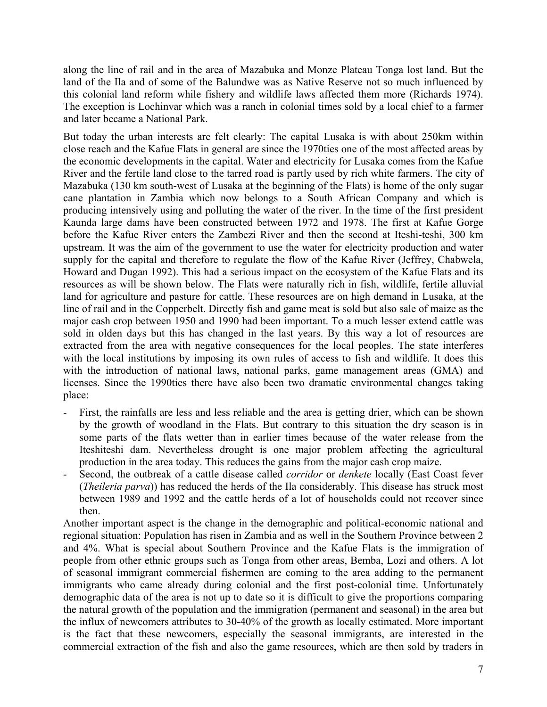along the line of rail and in the area of Mazabuka and Monze Plateau Tonga lost land. But the land of the Ila and of some of the Balundwe was as Native Reserve not so much influenced by this colonial land reform while fishery and wildlife laws affected them more (Richards 1974). The exception is Lochinvar which was a ranch in colonial times sold by a local chief to a farmer and later became a National Park.

But today the urban interests are felt clearly: The capital Lusaka is with about 250km within close reach and the Kafue Flats in general are since the 1970ties one of the most affected areas by the economic developments in the capital. Water and electricity for Lusaka comes from the Kafue River and the fertile land close to the tarred road is partly used by rich white farmers. The city of Mazabuka (130 km south-west of Lusaka at the beginning of the Flats) is home of the only sugar cane plantation in Zambia which now belongs to a South African Company and which is producing intensively using and polluting the water of the river. In the time of the first president Kaunda large dams have been constructed between 1972 and 1978. The first at Kafue Gorge before the Kafue River enters the Zambezi River and then the second at Iteshi-teshi, 300 km upstream. It was the aim of the government to use the water for electricity production and water supply for the capital and therefore to regulate the flow of the Kafue River (Jeffrey, Chabwela, Howard and Dugan 1992). This had a serious impact on the ecosystem of the Kafue Flats and its resources as will be shown below. The Flats were naturally rich in fish, wildlife, fertile alluvial land for agriculture and pasture for cattle. These resources are on high demand in Lusaka, at the line of rail and in the Copperbelt. Directly fish and game meat is sold but also sale of maize as the major cash crop between 1950 and 1990 had been important. To a much lesser extend cattle was sold in olden days but this has changed in the last years. By this way a lot of resources are extracted from the area with negative consequences for the local peoples. The state interferes with the local institutions by imposing its own rules of access to fish and wildlife. It does this with the introduction of national laws, national parks, game management areas (GMA) and licenses. Since the 1990ties there have also been two dramatic environmental changes taking place:

- First, the rainfalls are less and less reliable and the area is getting drier, which can be shown by the growth of woodland in the Flats. But contrary to this situation the dry season is in some parts of the flats wetter than in earlier times because of the water release from the Iteshiteshi dam. Nevertheless drought is one major problem affecting the agricultural production in the area today. This reduces the gains from the major cash crop maize.
- Second, the outbreak of a cattle disease called *corridor* or *denkete* locally (East Coast fever (*Theileria parva*)) has reduced the herds of the Ila considerably. This disease has struck most between 1989 and 1992 and the cattle herds of a lot of households could not recover since then.

Another important aspect is the change in the demographic and political-economic national and regional situation: Population has risen in Zambia and as well in the Southern Province between 2 and 4%. What is special about Southern Province and the Kafue Flats is the immigration of people from other ethnic groups such as Tonga from other areas, Bemba, Lozi and others. A lot of seasonal immigrant commercial fishermen are coming to the area adding to the permanent immigrants who came already during colonial and the first post-colonial time. Unfortunately demographic data of the area is not up to date so it is difficult to give the proportions comparing the natural growth of the population and the immigration (permanent and seasonal) in the area but the influx of newcomers attributes to 30-40% of the growth as locally estimated. More important is the fact that these newcomers, especially the seasonal immigrants, are interested in the commercial extraction of the fish and also the game resources, which are then sold by traders in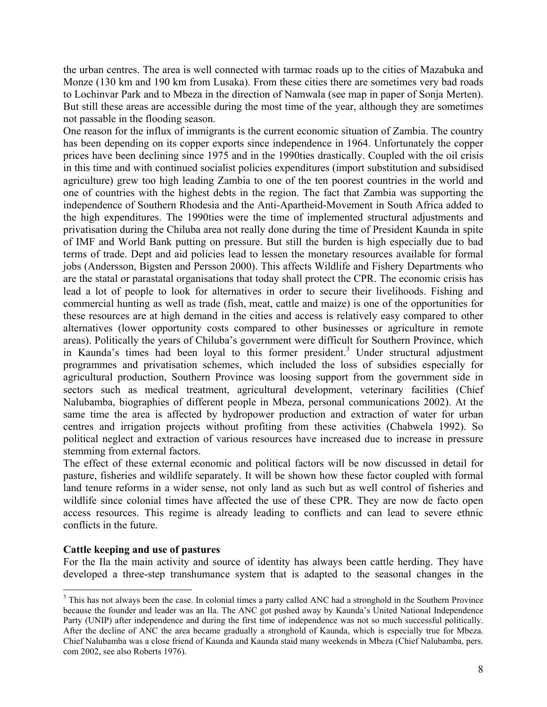the urban centres. The area is well connected with tarmac roads up to the cities of Mazabuka and Monze (130 km and 190 km from Lusaka). From these cities there are sometimes very bad roads to Lochinvar Park and to Mbeza in the direction of Namwala (see map in paper of Sonja Merten). But still these areas are accessible during the most time of the year, although they are sometimes not passable in the flooding season.

One reason for the influx of immigrants is the current economic situation of Zambia. The country has been depending on its copper exports since independence in 1964. Unfortunately the copper prices have been declining since 1975 and in the 1990ties drastically. Coupled with the oil crisis in this time and with continued socialist policies expenditures (import substitution and subsidised agriculture) grew too high leading Zambia to one of the ten poorest countries in the world and one of countries with the highest debts in the region. The fact that Zambia was supporting the independence of Southern Rhodesia and the Anti-Apartheid-Movement in South Africa added to the high expenditures. The 1990ties were the time of implemented structural adjustments and privatisation during the Chiluba area not really done during the time of President Kaunda in spite of IMF and World Bank putting on pressure. But still the burden is high especially due to bad terms of trade. Dept and aid policies lead to lessen the monetary resources available for formal jobs (Andersson, Bigsten and Persson 2000). This affects Wildlife and Fishery Departments who are the statal or parastatal organisations that today shall protect the CPR. The economic crisis has lead a lot of people to look for alternatives in order to secure their livelihoods. Fishing and commercial hunting as well as trade (fish, meat, cattle and maize) is one of the opportunities for these resources are at high demand in the cities and access is relatively easy compared to other alternatives (lower opportunity costs compared to other businesses or agriculture in remote areas). Politically the years of Chiluba's government were difficult for Southern Province, which in Kaunda's times had been loyal to this former president.<sup>3</sup> Under structural adjustment programmes and privatisation schemes, which included the loss of subsidies especially for agricultural production, Southern Province was loosing support from the government side in sectors such as medical treatment, agricultural development, veterinary facilities (Chief Nalubamba, biographies of different people in Mbeza, personal communications 2002). At the same time the area is affected by hydropower production and extraction of water for urban centres and irrigation projects without profiting from these activities (Chabwela 1992). So political neglect and extraction of various resources have increased due to increase in pressure stemming from external factors.

The effect of these external economic and political factors will be now discussed in detail for pasture, fisheries and wildlife separately. It will be shown how these factor coupled with formal land tenure reforms in a wider sense, not only land as such but as well control of fisheries and wildlife since colonial times have affected the use of these CPR. They are now de facto open access resources. This regime is already leading to conflicts and can lead to severe ethnic conflicts in the future.

# **Cattle keeping and use of pastures**

1

For the Ila the main activity and source of identity has always been cattle herding. They have developed a three-step transhumance system that is adapted to the seasonal changes in the

<sup>&</sup>lt;sup>3</sup> This has not always been the case. In colonial times a party called ANC had a stronghold in the Southern Province because the founder and leader was an Ila. The ANC got pushed away by Kaunda's United National Independence Party (UNIP) after independence and during the first time of independence was not so much successful politically. After the decline of ANC the area became gradually a stronghold of Kaunda, which is especially true for Mbeza. Chief Nalubamba was a close friend of Kaunda and Kaunda staid many weekends in Mbeza (Chief Nalubamba, pers. com 2002, see also Roberts 1976).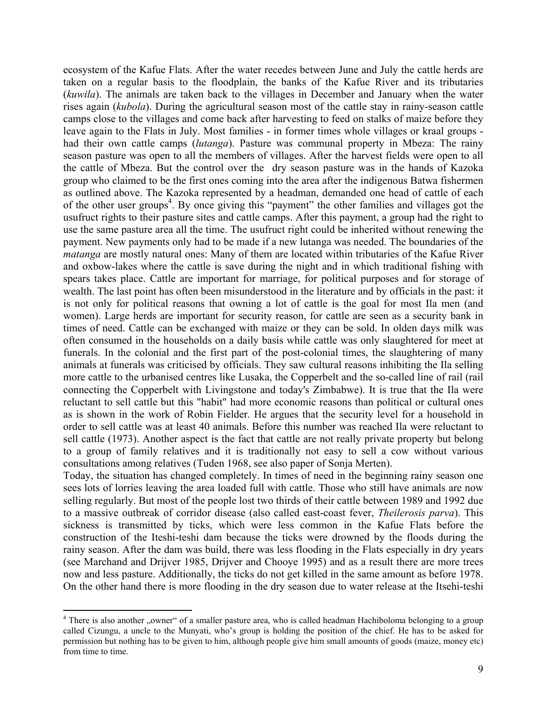ecosystem of the Kafue Flats. After the water recedes between June and July the cattle herds are taken on a regular basis to the floodplain, the banks of the Kafue River and its tributaries (*kuwila*). The animals are taken back to the villages in December and January when the water rises again (*kubola*). During the agricultural season most of the cattle stay in rainy-season cattle camps close to the villages and come back after harvesting to feed on stalks of maize before they leave again to the Flats in July. Most families - in former times whole villages or kraal groups had their own cattle camps (*lutanga*). Pasture was communal property in Mbeza: The rainy season pasture was open to all the members of villages. After the harvest fields were open to all the cattle of Mbeza. But the control over the dry season pasture was in the hands of Kazoka group who claimed to be the first ones coming into the area after the indigenous Batwa fishermen as outlined above. The Kazoka represented by a headman, demanded one head of cattle of each of the other user groups<sup>4</sup>. By once giving this "payment" the other families and villages got the usufruct rights to their pasture sites and cattle camps. After this payment, a group had the right to use the same pasture area all the time. The usufruct right could be inherited without renewing the payment. New payments only had to be made if a new lutanga was needed. The boundaries of the *matanga* are mostly natural ones: Many of them are located within tributaries of the Kafue River and oxbow-lakes where the cattle is save during the night and in which traditional fishing with spears takes place. Cattle are important for marriage, for political purposes and for storage of wealth. The last point has often been misunderstood in the literature and by officials in the past: it is not only for political reasons that owning a lot of cattle is the goal for most Ila men (and women). Large herds are important for security reason, for cattle are seen as a security bank in times of need. Cattle can be exchanged with maize or they can be sold. In olden days milk was often consumed in the households on a daily basis while cattle was only slaughtered for meet at funerals. In the colonial and the first part of the post-colonial times, the slaughtering of many animals at funerals was criticised by officials. They saw cultural reasons inhibiting the Ila selling more cattle to the urbanised centres like Lusaka, the Copperbelt and the so-called line of rail (rail connecting the Copperbelt with Livingstone and today's Zimbabwe). It is true that the Ila were reluctant to sell cattle but this "habit" had more economic reasons than political or cultural ones as is shown in the work of Robin Fielder. He argues that the security level for a household in order to sell cattle was at least 40 animals. Before this number was reached Ila were reluctant to sell cattle (1973). Another aspect is the fact that cattle are not really private property but belong to a group of family relatives and it is traditionally not easy to sell a cow without various consultations among relatives (Tuden 1968, see also paper of Sonja Merten).

Today, the situation has changed completely. In times of need in the beginning rainy season one sees lots of lorries leaving the area loaded full with cattle. Those who still have animals are now selling regularly. But most of the people lost two thirds of their cattle between 1989 and 1992 due to a massive outbreak of corridor disease (also called east-coast fever, *Theilerosis parva*). This sickness is transmitted by ticks, which were less common in the Kafue Flats before the construction of the Iteshi-teshi dam because the ticks were drowned by the floods during the rainy season. After the dam was build, there was less flooding in the Flats especially in dry years (see Marchand and Drijver 1985, Drijver and Chooye 1995) and as a result there are more trees now and less pasture. Additionally, the ticks do not get killed in the same amount as before 1978. On the other hand there is more flooding in the dry season due to water release at the Itsehi-teshi

<u>.</u>

<sup>&</sup>lt;sup>4</sup> There is also another "owner" of a smaller pasture area, who is called headman Hachiboloma belonging to a group called Cizungu, a uncle to the Munyati, who's group is holding the position of the chief. He has to be asked for permission but nothing has to be given to him, although people give him small amounts of goods (maize, money etc) from time to time.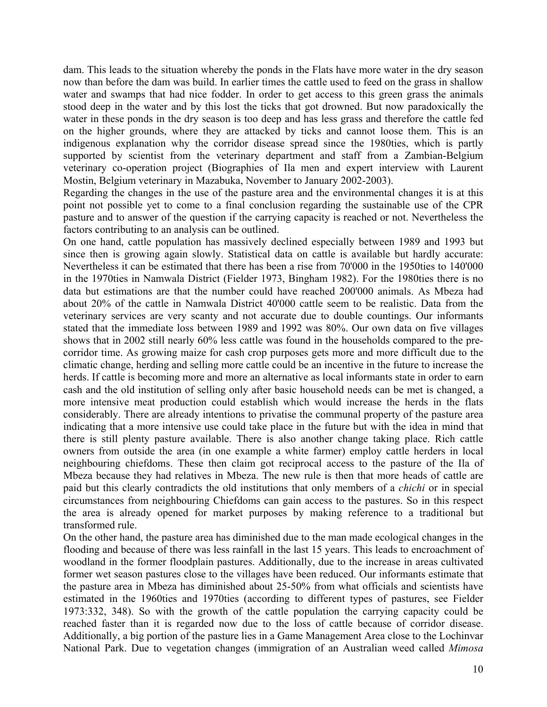dam. This leads to the situation whereby the ponds in the Flats have more water in the dry season now than before the dam was build. In earlier times the cattle used to feed on the grass in shallow water and swamps that had nice fodder. In order to get access to this green grass the animals stood deep in the water and by this lost the ticks that got drowned. But now paradoxically the water in these ponds in the dry season is too deep and has less grass and therefore the cattle fed on the higher grounds, where they are attacked by ticks and cannot loose them. This is an indigenous explanation why the corridor disease spread since the 1980ties, which is partly supported by scientist from the veterinary department and staff from a Zambian-Belgium veterinary co-operation project (Biographies of Ila men and expert interview with Laurent Mostin, Belgium veterinary in Mazabuka, November to January 2002-2003).

Regarding the changes in the use of the pasture area and the environmental changes it is at this point not possible yet to come to a final conclusion regarding the sustainable use of the CPR pasture and to answer of the question if the carrying capacity is reached or not. Nevertheless the factors contributing to an analysis can be outlined.

On one hand, cattle population has massively declined especially between 1989 and 1993 but since then is growing again slowly. Statistical data on cattle is available but hardly accurate: Nevertheless it can be estimated that there has been a rise from 70'000 in the 1950ties to 140'000 in the 1970ties in Namwala District (Fielder 1973, Bingham 1982). For the 1980ties there is no data but estimations are that the number could have reached 200'000 animals. As Mbeza had about 20% of the cattle in Namwala District 40'000 cattle seem to be realistic. Data from the veterinary services are very scanty and not accurate due to double countings. Our informants stated that the immediate loss between 1989 and 1992 was 80%. Our own data on five villages shows that in 2002 still nearly 60% less cattle was found in the households compared to the precorridor time. As growing maize for cash crop purposes gets more and more difficult due to the climatic change, herding and selling more cattle could be an incentive in the future to increase the herds. If cattle is becoming more and more an alternative as local informants state in order to earn cash and the old institution of selling only after basic household needs can be met is changed, a more intensive meat production could establish which would increase the herds in the flats considerably. There are already intentions to privatise the communal property of the pasture area indicating that a more intensive use could take place in the future but with the idea in mind that there is still plenty pasture available. There is also another change taking place. Rich cattle owners from outside the area (in one example a white farmer) employ cattle herders in local neighbouring chiefdoms. These then claim got reciprocal access to the pasture of the Ila of Mbeza because they had relatives in Mbeza. The new rule is then that more heads of cattle are paid but this clearly contradicts the old institutions that only members of a *chichi* or in special circumstances from neighbouring Chiefdoms can gain access to the pastures. So in this respect the area is already opened for market purposes by making reference to a traditional but transformed rule.

On the other hand, the pasture area has diminished due to the man made ecological changes in the flooding and because of there was less rainfall in the last 15 years. This leads to encroachment of woodland in the former floodplain pastures. Additionally, due to the increase in areas cultivated former wet season pastures close to the villages have been reduced. Our informants estimate that the pasture area in Mbeza has diminished about 25-50% from what officials and scientists have estimated in the 1960ties and 1970ties (according to different types of pastures, see Fielder 1973:332, 348). So with the growth of the cattle population the carrying capacity could be reached faster than it is regarded now due to the loss of cattle because of corridor disease. Additionally, a big portion of the pasture lies in a Game Management Area close to the Lochinvar National Park. Due to vegetation changes (immigration of an Australian weed called *Mimosa*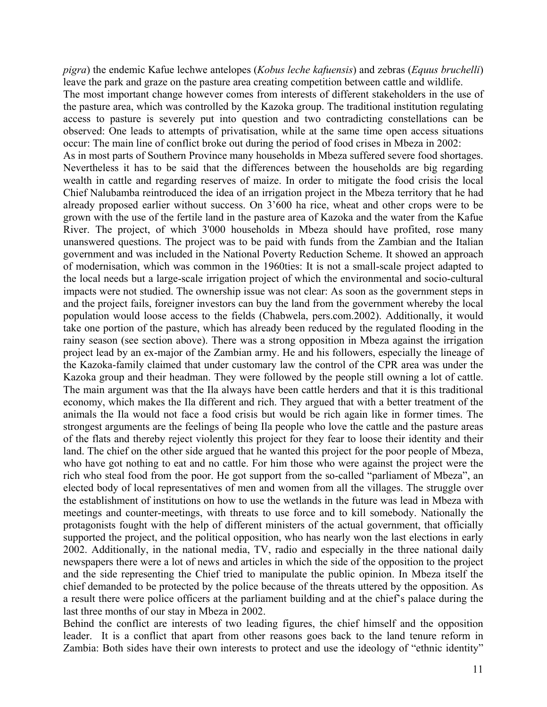*pigra*) the endemic Kafue lechwe antelopes (*Kobus leche kafuensis*) and zebras (*Equus bruchelli*) leave the park and graze on the pasture area creating competition between cattle and wildlife. The most important change however comes from interests of different stakeholders in the use of the pasture area, which was controlled by the Kazoka group. The traditional institution regulating access to pasture is severely put into question and two contradicting constellations can be observed: One leads to attempts of privatisation, while at the same time open access situations occur: The main line of conflict broke out during the period of food crises in Mbeza in 2002: As in most parts of Southern Province many households in Mbeza suffered severe food shortages. Nevertheless it has to be said that the differences between the households are big regarding wealth in cattle and regarding reserves of maize. In order to mitigate the food crisis the local Chief Nalubamba reintroduced the idea of an irrigation project in the Mbeza territory that he had already proposed earlier without success. On 3'600 ha rice, wheat and other crops were to be grown with the use of the fertile land in the pasture area of Kazoka and the water from the Kafue River. The project, of which 3'000 households in Mbeza should have profited, rose many unanswered questions. The project was to be paid with funds from the Zambian and the Italian government and was included in the National Poverty Reduction Scheme. It showed an approach of modernisation, which was common in the 1960ties: It is not a small-scale project adapted to the local needs but a large-scale irrigation project of which the environmental and socio-cultural impacts were not studied. The ownership issue was not clear: As soon as the government steps in and the project fails, foreigner investors can buy the land from the government whereby the local population would loose access to the fields (Chabwela, pers.com.2002). Additionally, it would take one portion of the pasture, which has already been reduced by the regulated flooding in the rainy season (see section above). There was a strong opposition in Mbeza against the irrigation project lead by an ex-major of the Zambian army. He and his followers, especially the lineage of the Kazoka-family claimed that under customary law the control of the CPR area was under the Kazoka group and their headman. They were followed by the people still owning a lot of cattle. The main argument was that the Ila always have been cattle herders and that it is this traditional economy, which makes the Ila different and rich. They argued that with a better treatment of the animals the Ila would not face a food crisis but would be rich again like in former times. The strongest arguments are the feelings of being Ila people who love the cattle and the pasture areas of the flats and thereby reject violently this project for they fear to loose their identity and their land. The chief on the other side argued that he wanted this project for the poor people of Mbeza, who have got nothing to eat and no cattle. For him those who were against the project were the rich who steal food from the poor. He got support from the so-called "parliament of Mbeza", an elected body of local representatives of men and women from all the villages. The struggle over the establishment of institutions on how to use the wetlands in the future was lead in Mbeza with meetings and counter-meetings, with threats to use force and to kill somebody. Nationally the protagonists fought with the help of different ministers of the actual government, that officially supported the project, and the political opposition, who has nearly won the last elections in early 2002. Additionally, in the national media, TV, radio and especially in the three national daily newspapers there were a lot of news and articles in which the side of the opposition to the project and the side representing the Chief tried to manipulate the public opinion. In Mbeza itself the chief demanded to be protected by the police because of the threats uttered by the opposition. As a result there were police officers at the parliament building and at the chief's palace during the last three months of our stay in Mbeza in 2002.

Behind the conflict are interests of two leading figures, the chief himself and the opposition leader. It is a conflict that apart from other reasons goes back to the land tenure reform in Zambia: Both sides have their own interests to protect and use the ideology of "ethnic identity"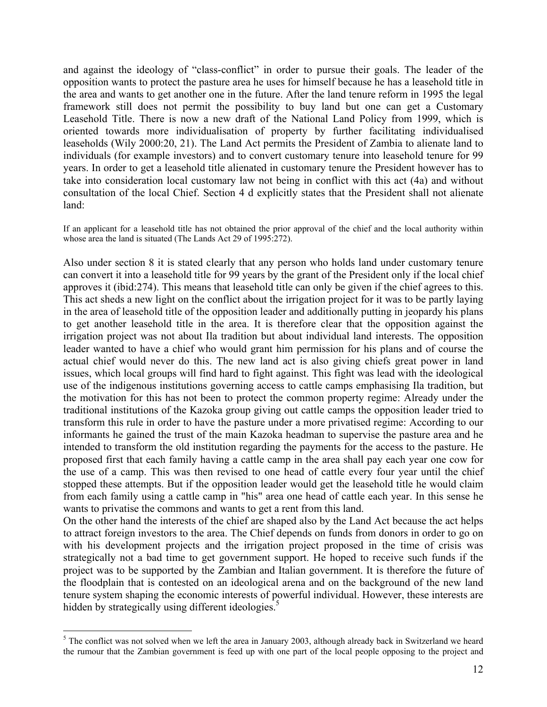and against the ideology of "class-conflict" in order to pursue their goals. The leader of the opposition wants to protect the pasture area he uses for himself because he has a leasehold title in the area and wants to get another one in the future. After the land tenure reform in 1995 the legal framework still does not permit the possibility to buy land but one can get a Customary Leasehold Title. There is now a new draft of the National Land Policy from 1999, which is oriented towards more individualisation of property by further facilitating individualised leaseholds (Wily 2000:20, 21). The Land Act permits the President of Zambia to alienate land to individuals (for example investors) and to convert customary tenure into leasehold tenure for 99 years. In order to get a leasehold title alienated in customary tenure the President however has to take into consideration local customary law not being in conflict with this act (4a) and without consultation of the local Chief. Section 4 d explicitly states that the President shall not alienate land:

If an applicant for a leasehold title has not obtained the prior approval of the chief and the local authority within whose area the land is situated (The Lands Act 29 of 1995:272).

Also under section 8 it is stated clearly that any person who holds land under customary tenure can convert it into a leasehold title for 99 years by the grant of the President only if the local chief approves it (ibid:274). This means that leasehold title can only be given if the chief agrees to this. This act sheds a new light on the conflict about the irrigation project for it was to be partly laying in the area of leasehold title of the opposition leader and additionally putting in jeopardy his plans to get another leasehold title in the area. It is therefore clear that the opposition against the irrigation project was not about Ila tradition but about individual land interests. The opposition leader wanted to have a chief who would grant him permission for his plans and of course the actual chief would never do this. The new land act is also giving chiefs great power in land issues, which local groups will find hard to fight against. This fight was lead with the ideological use of the indigenous institutions governing access to cattle camps emphasising Ila tradition, but the motivation for this has not been to protect the common property regime: Already under the traditional institutions of the Kazoka group giving out cattle camps the opposition leader tried to transform this rule in order to have the pasture under a more privatised regime: According to our informants he gained the trust of the main Kazoka headman to supervise the pasture area and he intended to transform the old institution regarding the payments for the access to the pasture. He proposed first that each family having a cattle camp in the area shall pay each year one cow for the use of a camp. This was then revised to one head of cattle every four year until the chief stopped these attempts. But if the opposition leader would get the leasehold title he would claim from each family using a cattle camp in "his" area one head of cattle each year. In this sense he wants to privatise the commons and wants to get a rent from this land.

On the other hand the interests of the chief are shaped also by the Land Act because the act helps to attract foreign investors to the area. The Chief depends on funds from donors in order to go on with his development projects and the irrigation project proposed in the time of crisis was strategically not a bad time to get government support. He hoped to receive such funds if the project was to be supported by the Zambian and Italian government. It is therefore the future of the floodplain that is contested on an ideological arena and on the background of the new land tenure system shaping the economic interests of powerful individual. However, these interests are hidden by strategically using different ideologies.<sup>5</sup>

1

 $<sup>5</sup>$  The conflict was not solved when we left the area in January 2003, although already back in Switzerland we heard</sup> the rumour that the Zambian government is feed up with one part of the local people opposing to the project and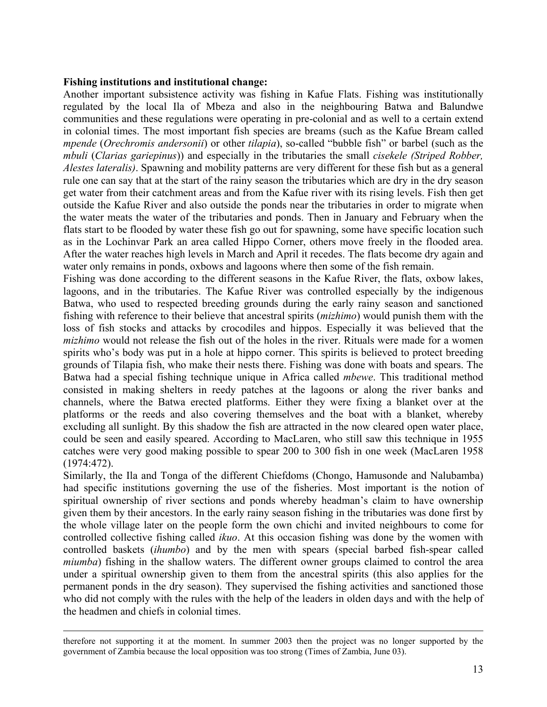#### **Fishing institutions and institutional change:**

Another important subsistence activity was fishing in Kafue Flats. Fishing was institutionally regulated by the local Ila of Mbeza and also in the neighbouring Batwa and Balundwe communities and these regulations were operating in pre-colonial and as well to a certain extend in colonial times. The most important fish species are breams (such as the Kafue Bream called *mpende* (*Orechromis andersonii*) or other *tilapia*), so-called "bubble fish" or barbel (such as the *mbuli* (*Clarias gariepinus*)) and especially in the tributaries the small *cisekele (Striped Robber, Alestes lateralis)*. Spawning and mobility patterns are very different for these fish but as a general rule one can say that at the start of the rainy season the tributaries which are dry in the dry season get water from their catchment areas and from the Kafue river with its rising levels. Fish then get outside the Kafue River and also outside the ponds near the tributaries in order to migrate when the water meats the water of the tributaries and ponds. Then in January and February when the flats start to be flooded by water these fish go out for spawning, some have specific location such as in the Lochinvar Park an area called Hippo Corner, others move freely in the flooded area. After the water reaches high levels in March and April it recedes. The flats become dry again and water only remains in ponds, oxbows and lagoons where then some of the fish remain.

Fishing was done according to the different seasons in the Kafue River, the flats, oxbow lakes, lagoons, and in the tributaries. The Kafue River was controlled especially by the indigenous Batwa, who used to respected breeding grounds during the early rainy season and sanctioned fishing with reference to their believe that ancestral spirits (*mizhimo*) would punish them with the loss of fish stocks and attacks by crocodiles and hippos. Especially it was believed that the *mizhimo* would not release the fish out of the holes in the river. Rituals were made for a women spirits who's body was put in a hole at hippo corner. This spirits is believed to protect breeding grounds of Tilapia fish, who make their nests there. Fishing was done with boats and spears. The Batwa had a special fishing technique unique in Africa called *mbewe*. This traditional method consisted in making shelters in reedy patches at the lagoons or along the river banks and channels, where the Batwa erected platforms. Either they were fixing a blanket over at the platforms or the reeds and also covering themselves and the boat with a blanket, whereby excluding all sunlight. By this shadow the fish are attracted in the now cleared open water place, could be seen and easily speared. According to MacLaren, who still saw this technique in 1955 catches were very good making possible to spear 200 to 300 fish in one week (MacLaren 1958 (1974:472).

Similarly, the Ila and Tonga of the different Chiefdoms (Chongo, Hamusonde and Nalubamba) had specific institutions governing the use of the fisheries. Most important is the notion of spiritual ownership of river sections and ponds whereby headman's claim to have ownership given them by their ancestors. In the early rainy season fishing in the tributaries was done first by the whole village later on the people form the own chichi and invited neighbours to come for controlled collective fishing called *ikuo*. At this occasion fishing was done by the women with controlled baskets (*ihumbo*) and by the men with spears (special barbed fish-spear called *miumba*) fishing in the shallow waters. The different owner groups claimed to control the area under a spiritual ownership given to them from the ancestral spirits (this also applies for the permanent ponds in the dry season). They supervised the fishing activities and sanctioned those who did not comply with the rules with the help of the leaders in olden days and with the help of the headmen and chiefs in colonial times.

therefore not supporting it at the moment. In summer 2003 then the project was no longer supported by the government of Zambia because the local opposition was too strong (Times of Zambia, June 03).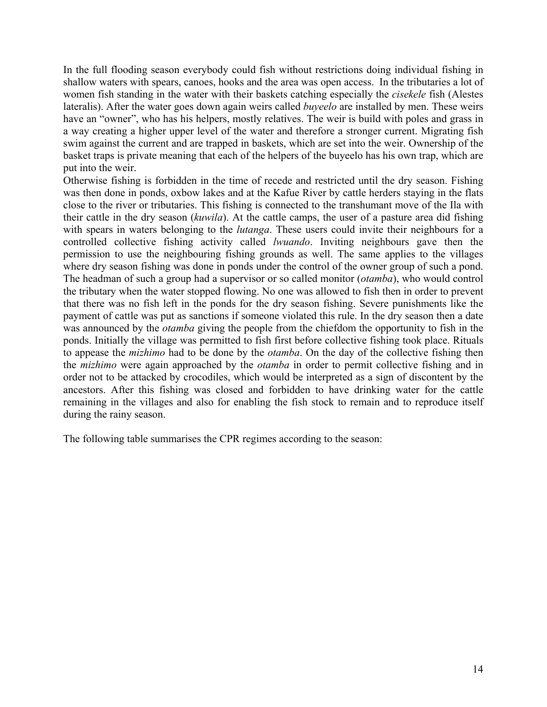In the full flooding season everybody could fish without restrictions doing individual fishing in shallow waters with spears, canoes, hooks and the area was open access. In the tributaries a lot of women fish standing in the water with their baskets catching especially the *cisekele* fish (Alestes lateralis). After the water goes down again weirs called *buyeelo* are installed by men. These weirs have an "owner", who has his helpers, mostly relatives. The weir is build with poles and grass in a way creating a higher upper level of the water and therefore a stronger current. Migrating fish swim against the current and are trapped in baskets, which are set into the weir. Ownership of the basket traps is private meaning that each of the helpers of the buyeelo has his own trap, which are put into the weir.

Otherwise fishing is forbidden in the time of recede and restricted until the dry season. Fishing was then done in ponds, oxbow lakes and at the Kafue River by cattle herders staying in the flats close to the river or tributaries. This fishing is connected to the transhumant move of the Ila with their cattle in the dry season (*kuwila*). At the cattle camps, the user of a pasture area did fishing with spears in waters belonging to the *lutanga*. These users could invite their neighbours for a controlled collective fishing activity called *lwuando*. Inviting neighbours gave then the permission to use the neighbouring fishing grounds as well. The same applies to the villages where dry season fishing was done in ponds under the control of the owner group of such a pond. The headman of such a group had a supervisor or so called monitor (*otamba*), who would control the tributary when the water stopped flowing. No one was allowed to fish then in order to prevent that there was no fish left in the ponds for the dry season fishing. Severe punishments like the payment of cattle was put as sanctions if someone violated this rule. In the dry season then a date was announced by the *otamba* giving the people from the chiefdom the opportunity to fish in the ponds. Initially the village was permitted to fish first before collective fishing took place. Rituals to appease the *mizhimo* had to be done by the *otamba*. On the day of the collective fishing then the *mizhimo* were again approached by the *otamba* in order to permit collective fishing and in order not to be attacked by crocodiles, which would be interpreted as a sign of discontent by the ancestors. After this fishing was closed and forbidden to have drinking water for the cattle remaining in the villages and also for enabling the fish stock to remain and to reproduce itself during the rainy season.

The following table summarises the CPR regimes according to the season: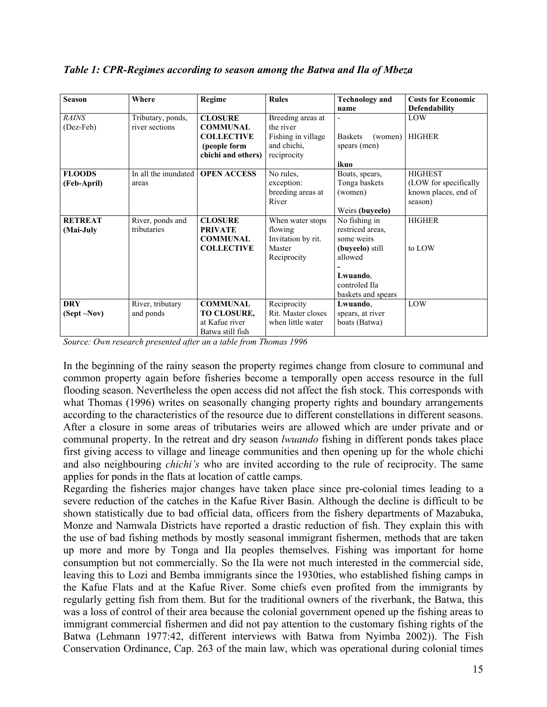| <b>Season</b>  | Where                | <b>Regime</b>      | <b>Rules</b>       | <b>Technology and</b>     | <b>Costs for Economic</b> |
|----------------|----------------------|--------------------|--------------------|---------------------------|---------------------------|
|                |                      |                    |                    |                           |                           |
|                |                      |                    |                    | name                      | Defendability             |
| <b>RAINS</b>   | Tributary, ponds,    | <b>CLOSURE</b>     | Breeding areas at  | $\overline{\phantom{0}}$  | LOW                       |
| (Dez-Feb)      | river sections       | <b>COMMUNAL</b>    | the river          |                           |                           |
|                |                      | <b>COLLECTIVE</b>  | Fishing in village | <b>Baskets</b><br>(women) | <b>HIGHER</b>             |
|                |                      | (people form       | and chichi,        | spears (men)              |                           |
|                |                      | chichi and others) | reciprocity        |                           |                           |
|                |                      |                    |                    | ikuo                      |                           |
| <b>FLOODS</b>  | In all the inundated | <b>OPEN ACCESS</b> | No rules.          | Boats, spears,            | <b>HIGHEST</b>            |
| (Feb-April)    | areas                |                    | exception:         | Tonga baskets             | (LOW for specifically     |
|                |                      |                    | breeding areas at  | (women)                   | known places, end of      |
|                |                      |                    | River              |                           | season)                   |
|                |                      |                    |                    | Weirs (buyeelo)           |                           |
| <b>RETREAT</b> | River, ponds and     | <b>CLOSURE</b>     | When water stops   | No fishing in             | <b>HIGHER</b>             |
| (Mai-July      | tributaries          | <b>PRIVATE</b>     | flowing            | restriced areas.          |                           |
|                |                      | <b>COMMUNAL</b>    | Invitation by rit. | some weirs                |                           |
|                |                      | <b>COLLECTIVE</b>  | Master             | (buyeelo) still           | to LOW                    |
|                |                      |                    | Reciprocity        | allowed                   |                           |
|                |                      |                    |                    |                           |                           |
|                |                      |                    |                    | Lwuando.                  |                           |
|                |                      |                    |                    | controled Ila             |                           |
|                |                      |                    |                    | baskets and spears        |                           |
| <b>DRY</b>     | River, tributary     | <b>COMMUNAL</b>    | Reciprocity        | Lwuando,                  | LOW                       |
| (Sept-Nov)     | and ponds            | TO CLOSURE,        | Rit. Master closes | spears, at river          |                           |
|                |                      | at Kafue river     | when little water  | boats (Batwa)             |                           |
|                |                      | Batwa still fish   |                    |                           |                           |

*Table 1: CPR-Regimes according to season among the Batwa and Ila of Mbeza* 

*Source: Own research presented after an a table from Thomas 1996* 

In the beginning of the rainy season the property regimes change from closure to communal and common property again before fisheries become a temporally open access resource in the full flooding season. Nevertheless the open access did not affect the fish stock. This corresponds with what Thomas (1996) writes on seasonally changing property rights and boundary arrangements according to the characteristics of the resource due to different constellations in different seasons. After a closure in some areas of tributaries weirs are allowed which are under private and or communal property. In the retreat and dry season *lwuando* fishing in different ponds takes place first giving access to village and lineage communities and then opening up for the whole chichi and also neighbouring *chichi's* who are invited according to the rule of reciprocity. The same applies for ponds in the flats at location of cattle camps.

Regarding the fisheries major changes have taken place since pre-colonial times leading to a severe reduction of the catches in the Kafue River Basin. Although the decline is difficult to be shown statistically due to bad official data, officers from the fishery departments of Mazabuka, Monze and Namwala Districts have reported a drastic reduction of fish. They explain this with the use of bad fishing methods by mostly seasonal immigrant fishermen, methods that are taken up more and more by Tonga and Ila peoples themselves. Fishing was important for home consumption but not commercially. So the Ila were not much interested in the commercial side, leaving this to Lozi and Bemba immigrants since the 1930ties, who established fishing camps in the Kafue Flats and at the Kafue River. Some chiefs even profited from the immigrants by regularly getting fish from them. But for the traditional owners of the riverbank, the Batwa, this was a loss of control of their area because the colonial government opened up the fishing areas to immigrant commercial fishermen and did not pay attention to the customary fishing rights of the Batwa (Lehmann 1977:42, different interviews with Batwa from Nyimba 2002)). The Fish Conservation Ordinance, Cap. 263 of the main law, which was operational during colonial times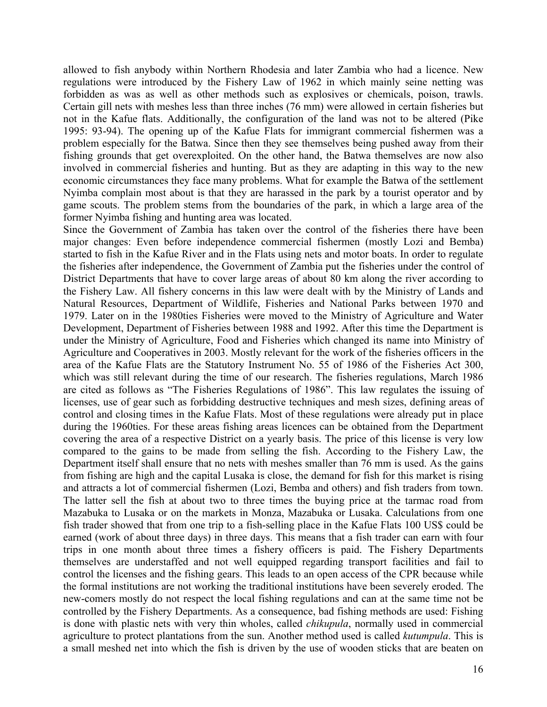allowed to fish anybody within Northern Rhodesia and later Zambia who had a licence. New regulations were introduced by the Fishery Law of 1962 in which mainly seine netting was forbidden as was as well as other methods such as explosives or chemicals, poison, trawls. Certain gill nets with meshes less than three inches (76 mm) were allowed in certain fisheries but not in the Kafue flats. Additionally, the configuration of the land was not to be altered (Pike 1995: 93-94). The opening up of the Kafue Flats for immigrant commercial fishermen was a problem especially for the Batwa. Since then they see themselves being pushed away from their fishing grounds that get overexploited. On the other hand, the Batwa themselves are now also involved in commercial fisheries and hunting. But as they are adapting in this way to the new economic circumstances they face many problems. What for example the Batwa of the settlement Nyimba complain most about is that they are harassed in the park by a tourist operator and by game scouts. The problem stems from the boundaries of the park, in which a large area of the former Nyimba fishing and hunting area was located.

Since the Government of Zambia has taken over the control of the fisheries there have been major changes: Even before independence commercial fishermen (mostly Lozi and Bemba) started to fish in the Kafue River and in the Flats using nets and motor boats. In order to regulate the fisheries after independence, the Government of Zambia put the fisheries under the control of District Departments that have to cover large areas of about 80 km along the river according to the Fishery Law. All fishery concerns in this law were dealt with by the Ministry of Lands and Natural Resources, Department of Wildlife, Fisheries and National Parks between 1970 and 1979. Later on in the 1980ties Fisheries were moved to the Ministry of Agriculture and Water Development, Department of Fisheries between 1988 and 1992. After this time the Department is under the Ministry of Agriculture, Food and Fisheries which changed its name into Ministry of Agriculture and Cooperatives in 2003. Mostly relevant for the work of the fisheries officers in the area of the Kafue Flats are the Statutory Instrument No. 55 of 1986 of the Fisheries Act 300, which was still relevant during the time of our research. The fisheries regulations, March 1986 are cited as follows as "The Fisheries Regulations of 1986". This law regulates the issuing of licenses, use of gear such as forbidding destructive techniques and mesh sizes, defining areas of control and closing times in the Kafue Flats. Most of these regulations were already put in place during the 1960ties. For these areas fishing areas licences can be obtained from the Department covering the area of a respective District on a yearly basis. The price of this license is very low compared to the gains to be made from selling the fish. According to the Fishery Law, the Department itself shall ensure that no nets with meshes smaller than 76 mm is used. As the gains from fishing are high and the capital Lusaka is close, the demand for fish for this market is rising and attracts a lot of commercial fishermen (Lozi, Bemba and others) and fish traders from town. The latter sell the fish at about two to three times the buying price at the tarmac road from Mazabuka to Lusaka or on the markets in Monza, Mazabuka or Lusaka. Calculations from one fish trader showed that from one trip to a fish-selling place in the Kafue Flats 100 US\$ could be earned (work of about three days) in three days. This means that a fish trader can earn with four trips in one month about three times a fishery officers is paid. The Fishery Departments themselves are understaffed and not well equipped regarding transport facilities and fail to control the licenses and the fishing gears. This leads to an open access of the CPR because while the formal institutions are not working the traditional institutions have been severely eroded. The new-comers mostly do not respect the local fishing regulations and can at the same time not be controlled by the Fishery Departments. As a consequence, bad fishing methods are used: Fishing is done with plastic nets with very thin wholes, called *chikupula*, normally used in commercial agriculture to protect plantations from the sun. Another method used is called *kutumpula*. This is a small meshed net into which the fish is driven by the use of wooden sticks that are beaten on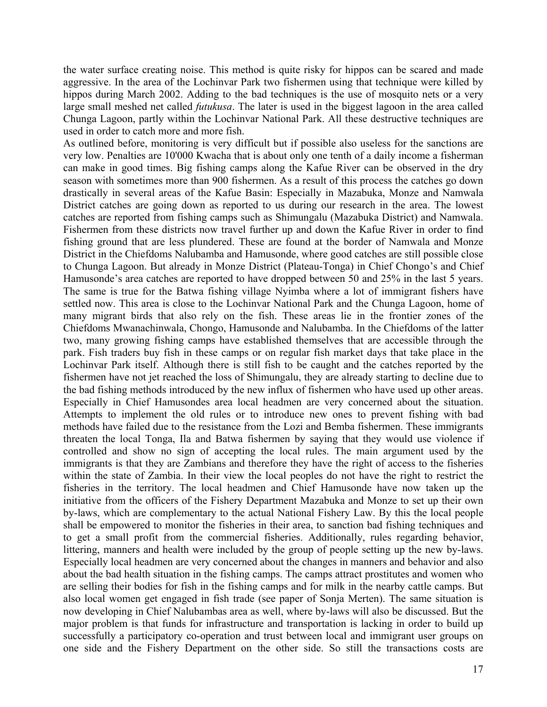the water surface creating noise. This method is quite risky for hippos can be scared and made aggressive. In the area of the Lochinvar Park two fishermen using that technique were killed by hippos during March 2002. Adding to the bad techniques is the use of mosquito nets or a very large small meshed net called *futukusa*. The later is used in the biggest lagoon in the area called Chunga Lagoon, partly within the Lochinvar National Park. All these destructive techniques are used in order to catch more and more fish.

As outlined before, monitoring is very difficult but if possible also useless for the sanctions are very low. Penalties are 10'000 Kwacha that is about only one tenth of a daily income a fisherman can make in good times. Big fishing camps along the Kafue River can be observed in the dry season with sometimes more than 900 fishermen. As a result of this process the catches go down drastically in several areas of the Kafue Basin: Especially in Mazabuka, Monze and Namwala District catches are going down as reported to us during our research in the area. The lowest catches are reported from fishing camps such as Shimungalu (Mazabuka District) and Namwala. Fishermen from these districts now travel further up and down the Kafue River in order to find fishing ground that are less plundered. These are found at the border of Namwala and Monze District in the Chiefdoms Nalubamba and Hamusonde, where good catches are still possible close to Chunga Lagoon. But already in Monze District (Plateau-Tonga) in Chief Chongo's and Chief Hamusonde's area catches are reported to have dropped between 50 and 25% in the last 5 years. The same is true for the Batwa fishing village Nyimba where a lot of immigrant fishers have settled now. This area is close to the Lochinvar National Park and the Chunga Lagoon, home of many migrant birds that also rely on the fish. These areas lie in the frontier zones of the Chiefdoms Mwanachinwala, Chongo, Hamusonde and Nalubamba. In the Chiefdoms of the latter two, many growing fishing camps have established themselves that are accessible through the park. Fish traders buy fish in these camps or on regular fish market days that take place in the Lochinvar Park itself. Although there is still fish to be caught and the catches reported by the fishermen have not jet reached the loss of Shimungalu, they are already starting to decline due to the bad fishing methods introduced by the new influx of fishermen who have used up other areas. Especially in Chief Hamusondes area local headmen are very concerned about the situation. Attempts to implement the old rules or to introduce new ones to prevent fishing with bad methods have failed due to the resistance from the Lozi and Bemba fishermen. These immigrants threaten the local Tonga, Ila and Batwa fishermen by saying that they would use violence if controlled and show no sign of accepting the local rules. The main argument used by the immigrants is that they are Zambians and therefore they have the right of access to the fisheries within the state of Zambia. In their view the local peoples do not have the right to restrict the fisheries in the territory. The local headmen and Chief Hamusonde have now taken up the initiative from the officers of the Fishery Department Mazabuka and Monze to set up their own by-laws, which are complementary to the actual National Fishery Law. By this the local people shall be empowered to monitor the fisheries in their area, to sanction bad fishing techniques and to get a small profit from the commercial fisheries. Additionally, rules regarding behavior, littering, manners and health were included by the group of people setting up the new by-laws. Especially local headmen are very concerned about the changes in manners and behavior and also about the bad health situation in the fishing camps. The camps attract prostitutes and women who are selling their bodies for fish in the fishing camps and for milk in the nearby cattle camps. But also local women get engaged in fish trade (see paper of Sonja Merten). The same situation is now developing in Chief Nalubambas area as well, where by-laws will also be discussed. But the major problem is that funds for infrastructure and transportation is lacking in order to build up successfully a participatory co-operation and trust between local and immigrant user groups on one side and the Fishery Department on the other side. So still the transactions costs are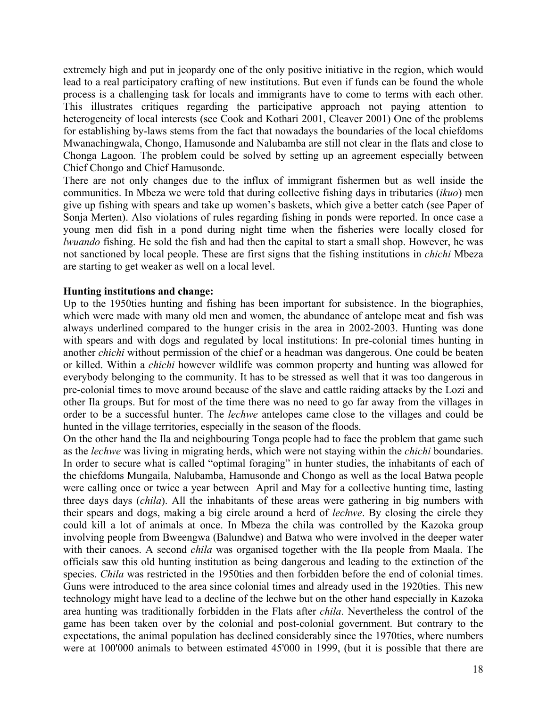extremely high and put in jeopardy one of the only positive initiative in the region, which would lead to a real participatory crafting of new institutions. But even if funds can be found the whole process is a challenging task for locals and immigrants have to come to terms with each other. This illustrates critiques regarding the participative approach not paying attention to heterogeneity of local interests (see Cook and Kothari 2001, Cleaver 2001) One of the problems for establishing by-laws stems from the fact that nowadays the boundaries of the local chiefdoms Mwanachingwala, Chongo, Hamusonde and Nalubamba are still not clear in the flats and close to Chonga Lagoon. The problem could be solved by setting up an agreement especially between Chief Chongo and Chief Hamusonde.

There are not only changes due to the influx of immigrant fishermen but as well inside the communities. In Mbeza we were told that during collective fishing days in tributaries (*ikuo*) men give up fishing with spears and take up women's baskets, which give a better catch (see Paper of Sonja Merten). Also violations of rules regarding fishing in ponds were reported. In once case a young men did fish in a pond during night time when the fisheries were locally closed for *lwuando* fishing. He sold the fish and had then the capital to start a small shop. However, he was not sanctioned by local people. These are first signs that the fishing institutions in *chichi* Mbeza are starting to get weaker as well on a local level.

# **Hunting institutions and change:**

Up to the 1950ties hunting and fishing has been important for subsistence. In the biographies, which were made with many old men and women, the abundance of antelope meat and fish was always underlined compared to the hunger crisis in the area in 2002-2003. Hunting was done with spears and with dogs and regulated by local institutions: In pre-colonial times hunting in another *chichi* without permission of the chief or a headman was dangerous. One could be beaten or killed. Within a *chichi* however wildlife was common property and hunting was allowed for everybody belonging to the community. It has to be stressed as well that it was too dangerous in pre-colonial times to move around because of the slave and cattle raiding attacks by the Lozi and other Ila groups. But for most of the time there was no need to go far away from the villages in order to be a successful hunter. The *lechwe* antelopes came close to the villages and could be hunted in the village territories, especially in the season of the floods.

On the other hand the Ila and neighbouring Tonga people had to face the problem that game such as the *lechwe* was living in migrating herds, which were not staying within the *chichi* boundaries. In order to secure what is called "optimal foraging" in hunter studies, the inhabitants of each of the chiefdoms Mungaila, Nalubamba, Hamusonde and Chongo as well as the local Batwa people were calling once or twice a year between April and May for a collective hunting time, lasting three days days (*chila*). All the inhabitants of these areas were gathering in big numbers with their spears and dogs, making a big circle around a herd of *lechwe*. By closing the circle they could kill a lot of animals at once. In Mbeza the chila was controlled by the Kazoka group involving people from Bweengwa (Balundwe) and Batwa who were involved in the deeper water with their canoes. A second *chila* was organised together with the Ila people from Maala. The officials saw this old hunting institution as being dangerous and leading to the extinction of the species. *Chila* was restricted in the 1950ties and then forbidden before the end of colonial times. Guns were introduced to the area since colonial times and already used in the 1920ties. This new technology might have lead to a decline of the lechwe but on the other hand especially in Kazoka area hunting was traditionally forbidden in the Flats after *chila*. Nevertheless the control of the game has been taken over by the colonial and post-colonial government. But contrary to the expectations, the animal population has declined considerably since the 1970ties, where numbers were at 100'000 animals to between estimated 45'000 in 1999, (but it is possible that there are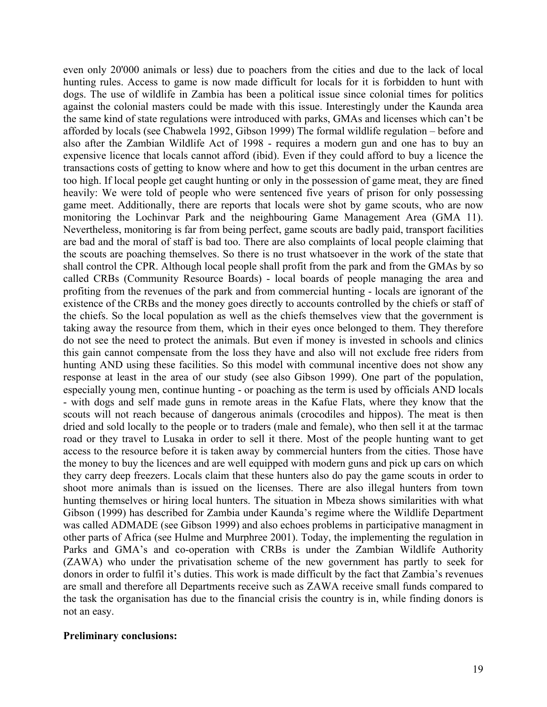even only 20'000 animals or less) due to poachers from the cities and due to the lack of local hunting rules. Access to game is now made difficult for locals for it is forbidden to hunt with dogs. The use of wildlife in Zambia has been a political issue since colonial times for politics against the colonial masters could be made with this issue. Interestingly under the Kaunda area the same kind of state regulations were introduced with parks, GMAs and licenses which can't be afforded by locals (see Chabwela 1992, Gibson 1999) The formal wildlife regulation – before and also after the Zambian Wildlife Act of 1998 - requires a modern gun and one has to buy an expensive licence that locals cannot afford (ibid). Even if they could afford to buy a licence the transactions costs of getting to know where and how to get this document in the urban centres are too high. If local people get caught hunting or only in the possession of game meat, they are fined heavily: We were told of people who were sentenced five years of prison for only possessing game meet. Additionally, there are reports that locals were shot by game scouts, who are now monitoring the Lochinvar Park and the neighbouring Game Management Area (GMA 11). Nevertheless, monitoring is far from being perfect, game scouts are badly paid, transport facilities are bad and the moral of staff is bad too. There are also complaints of local people claiming that the scouts are poaching themselves. So there is no trust whatsoever in the work of the state that shall control the CPR. Although local people shall profit from the park and from the GMAs by so called CRBs (Community Resource Boards) - local boards of people managing the area and profiting from the revenues of the park and from commercial hunting - locals are ignorant of the existence of the CRBs and the money goes directly to accounts controlled by the chiefs or staff of the chiefs. So the local population as well as the chiefs themselves view that the government is taking away the resource from them, which in their eyes once belonged to them. They therefore do not see the need to protect the animals. But even if money is invested in schools and clinics this gain cannot compensate from the loss they have and also will not exclude free riders from hunting AND using these facilities. So this model with communal incentive does not show any response at least in the area of our study (see also Gibson 1999). One part of the population, especially young men, continue hunting - or poaching as the term is used by officials AND locals - with dogs and self made guns in remote areas in the Kafue Flats, where they know that the scouts will not reach because of dangerous animals (crocodiles and hippos). The meat is then dried and sold locally to the people or to traders (male and female), who then sell it at the tarmac road or they travel to Lusaka in order to sell it there. Most of the people hunting want to get access to the resource before it is taken away by commercial hunters from the cities. Those have the money to buy the licences and are well equipped with modern guns and pick up cars on which they carry deep freezers. Locals claim that these hunters also do pay the game scouts in order to shoot more animals than is issued on the licenses. There are also illegal hunters from town hunting themselves or hiring local hunters. The situation in Mbeza shows similarities with what Gibson (1999) has described for Zambia under Kaunda's regime where the Wildlife Department was called ADMADE (see Gibson 1999) and also echoes problems in participative managment in other parts of Africa (see Hulme and Murphree 2001). Today, the implementing the regulation in Parks and GMA's and co-operation with CRBs is under the Zambian Wildlife Authority (ZAWA) who under the privatisation scheme of the new government has partly to seek for donors in order to fulfil it's duties. This work is made difficult by the fact that Zambia's revenues are small and therefore all Departments receive such as ZAWA receive small funds compared to the task the organisation has due to the financial crisis the country is in, while finding donors is not an easy.

# **Preliminary conclusions:**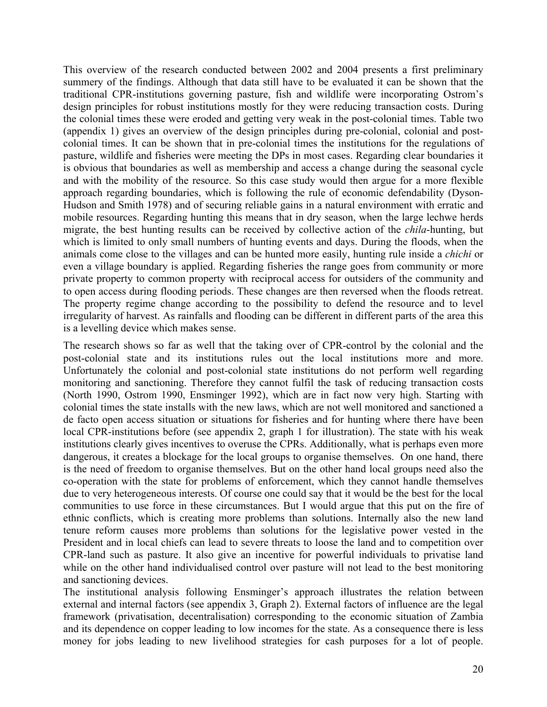This overview of the research conducted between 2002 and 2004 presents a first preliminary summery of the findings. Although that data still have to be evaluated it can be shown that the traditional CPR-institutions governing pasture, fish and wildlife were incorporating Ostrom's design principles for robust institutions mostly for they were reducing transaction costs. During the colonial times these were eroded and getting very weak in the post-colonial times. Table two (appendix 1) gives an overview of the design principles during pre-colonial, colonial and postcolonial times. It can be shown that in pre-colonial times the institutions for the regulations of pasture, wildlife and fisheries were meeting the DPs in most cases. Regarding clear boundaries it is obvious that boundaries as well as membership and access a change during the seasonal cycle and with the mobility of the resource. So this case study would then argue for a more flexible approach regarding boundaries, which is following the rule of economic defendability (Dyson-Hudson and Smith 1978) and of securing reliable gains in a natural environment with erratic and mobile resources. Regarding hunting this means that in dry season, when the large lechwe herds migrate, the best hunting results can be received by collective action of the *chila*-hunting, but which is limited to only small numbers of hunting events and days. During the floods, when the animals come close to the villages and can be hunted more easily, hunting rule inside a *chichi* or even a village boundary is applied. Regarding fisheries the range goes from community or more private property to common property with reciprocal access for outsiders of the community and to open access during flooding periods. These changes are then reversed when the floods retreat. The property regime change according to the possibility to defend the resource and to level irregularity of harvest. As rainfalls and flooding can be different in different parts of the area this is a levelling device which makes sense.

The research shows so far as well that the taking over of CPR-control by the colonial and the post-colonial state and its institutions rules out the local institutions more and more. Unfortunately the colonial and post-colonial state institutions do not perform well regarding monitoring and sanctioning. Therefore they cannot fulfil the task of reducing transaction costs (North 1990, Ostrom 1990, Ensminger 1992), which are in fact now very high. Starting with colonial times the state installs with the new laws, which are not well monitored and sanctioned a de facto open access situation or situations for fisheries and for hunting where there have been local CPR-institutions before (see appendix 2, graph 1 for illustration). The state with his weak institutions clearly gives incentives to overuse the CPRs. Additionally, what is perhaps even more dangerous, it creates a blockage for the local groups to organise themselves. On one hand, there is the need of freedom to organise themselves. But on the other hand local groups need also the co-operation with the state for problems of enforcement, which they cannot handle themselves due to very heterogeneous interests. Of course one could say that it would be the best for the local communities to use force in these circumstances. But I would argue that this put on the fire of ethnic conflicts, which is creating more problems than solutions. Internally also the new land tenure reform causes more problems than solutions for the legislative power vested in the President and in local chiefs can lead to severe threats to loose the land and to competition over CPR-land such as pasture. It also give an incentive for powerful individuals to privatise land while on the other hand individualised control over pasture will not lead to the best monitoring and sanctioning devices.

The institutional analysis following Ensminger's approach illustrates the relation between external and internal factors (see appendix 3, Graph 2). External factors of influence are the legal framework (privatisation, decentralisation) corresponding to the economic situation of Zambia and its dependence on copper leading to low incomes for the state. As a consequence there is less money for jobs leading to new livelihood strategies for cash purposes for a lot of people.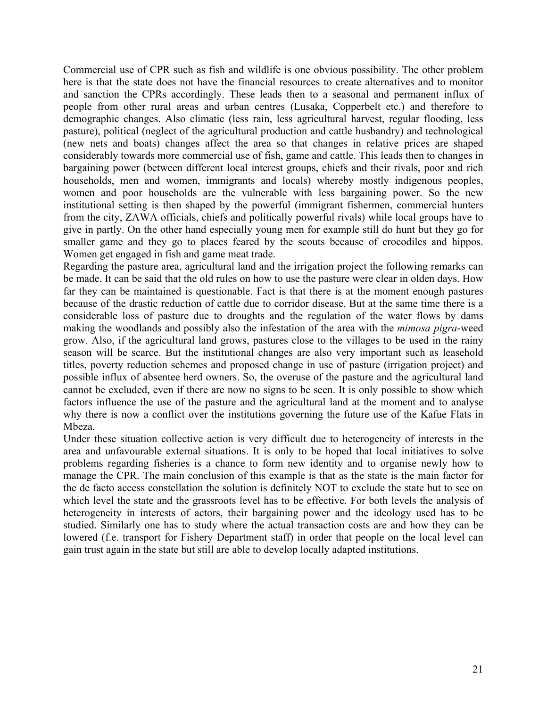Commercial use of CPR such as fish and wildlife is one obvious possibility. The other problem here is that the state does not have the financial resources to create alternatives and to monitor and sanction the CPRs accordingly. These leads then to a seasonal and permanent influx of people from other rural areas and urban centres (Lusaka, Copperbelt etc.) and therefore to demographic changes. Also climatic (less rain, less agricultural harvest, regular flooding, less pasture), political (neglect of the agricultural production and cattle husbandry) and technological (new nets and boats) changes affect the area so that changes in relative prices are shaped considerably towards more commercial use of fish, game and cattle. This leads then to changes in bargaining power (between different local interest groups, chiefs and their rivals, poor and rich households, men and women, immigrants and locals) whereby mostly indigenous peoples, women and poor households are the vulnerable with less bargaining power. So the new institutional setting is then shaped by the powerful (immigrant fishermen, commercial hunters from the city, ZAWA officials, chiefs and politically powerful rivals) while local groups have to give in partly. On the other hand especially young men for example still do hunt but they go for smaller game and they go to places feared by the scouts because of crocodiles and hippos. Women get engaged in fish and game meat trade.

Regarding the pasture area, agricultural land and the irrigation project the following remarks can be made. It can be said that the old rules on how to use the pasture were clear in olden days. How far they can be maintained is questionable. Fact is that there is at the moment enough pastures because of the drastic reduction of cattle due to corridor disease. But at the same time there is a considerable loss of pasture due to droughts and the regulation of the water flows by dams making the woodlands and possibly also the infestation of the area with the *mimosa pigra*-weed grow. Also, if the agricultural land grows, pastures close to the villages to be used in the rainy season will be scarce. But the institutional changes are also very important such as leasehold titles, poverty reduction schemes and proposed change in use of pasture (irrigation project) and possible influx of absentee herd owners. So, the overuse of the pasture and the agricultural land cannot be excluded, even if there are now no signs to be seen. It is only possible to show which factors influence the use of the pasture and the agricultural land at the moment and to analyse why there is now a conflict over the institutions governing the future use of the Kafue Flats in Mbeza.

Under these situation collective action is very difficult due to heterogeneity of interests in the area and unfavourable external situations. It is only to be hoped that local initiatives to solve problems regarding fisheries is a chance to form new identity and to organise newly how to manage the CPR. The main conclusion of this example is that as the state is the main factor for the de facto access constellation the solution is definitely NOT to exclude the state but to see on which level the state and the grassroots level has to be effective. For both levels the analysis of heterogeneity in interests of actors, their bargaining power and the ideology used has to be studied. Similarly one has to study where the actual transaction costs are and how they can be lowered (f.e. transport for Fishery Department staff) in order that people on the local level can gain trust again in the state but still are able to develop locally adapted institutions.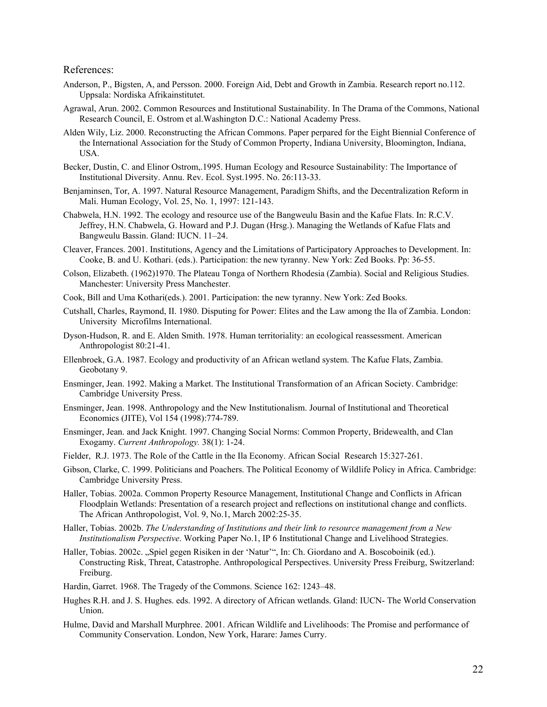#### References:

- Anderson, P., Bigsten, A, and Persson. 2000. Foreign Aid, Debt and Growth in Zambia. Research report no.112. Uppsala: Nordiska Afrikainstitutet.
- Agrawal, Arun. 2002. Common Resources and Institutional Sustainability. In The Drama of the Commons, National Research Council, E. Ostrom et al.Washington D.C.: National Academy Press.
- Alden Wily, Liz. 2000. Reconstructing the African Commons. Paper perpared for the Eight Biennial Conference of the International Association for the Study of Common Property, Indiana University, Bloomington, Indiana, USA.
- Becker, Dustin, C. and Elinor Ostrom,.1995. Human Ecology and Resource Sustainability: The Importance of Institutional Diversity. Annu. Rev. Ecol. Syst.1995. No. 26:113-33.
- Benjaminsen, Tor, A. 1997. Natural Resource Management, Paradigm Shifts, and the Decentralization Reform in Mali. Human Ecology, Vol. 25, No. 1, 1997: 121-143.
- Chabwela, H.N. 1992. The ecology and resource use of the Bangweulu Basin and the Kafue Flats. In: R.C.V. Jeffrey, H.N. Chabwela, G. Howard and P.J. Dugan (Hrsg.). Managing the Wetlands of Kafue Flats and Bangweulu Bassin. Gland: IUCN. 11–24.
- Cleaver, Frances. 2001. Institutions, Agency and the Limitations of Participatory Approaches to Development. In: Cooke, B. and U. Kothari. (eds.). Participation: the new tyranny. New York: Zed Books. Pp: 36-55.
- Colson, Elizabeth. (1962)1970. The Plateau Tonga of Northern Rhodesia (Zambia). Social and Religious Studies. Manchester: University Press Manchester.
- Cook, Bill and Uma Kothari(eds.). 2001. Participation: the new tyranny. New York: Zed Books.
- Cutshall, Charles, Raymond, II. 1980. Disputing for Power: Elites and the Law among the Ila of Zambia. London: University Microfilms International.
- Dyson-Hudson, R. and E. Alden Smith. 1978. Human territoriality: an ecological reassessment. American Anthropologist 80:21-41.
- Ellenbroek, G.A. 1987. Ecology and productivity of an African wetland system. The Kafue Flats, Zambia. Geobotany 9.
- Ensminger, Jean. 1992. Making a Market. The Institutional Transformation of an African Society. Cambridge: Cambridge University Press.
- Ensminger, Jean. 1998. Anthropology and the New Institutionalism. Journal of Institutional and Theoretical Economics (JITE), Vol 154 (1998):774-789.
- Ensminger, Jean. and Jack Knight. 1997. Changing Social Norms: Common Property, Bridewealth, and Clan Exogamy. *Current Anthropology.* 38(1): 1-24.
- Fielder, R.J. 1973. The Role of the Cattle in the Ila Economy. African Social Research 15:327-261.
- Gibson, Clarke, C. 1999. Politicians and Poachers. The Political Economy of Wildlife Policy in Africa. Cambridge: Cambridge University Press.
- Haller, Tobias. 2002a. Common Property Resource Management, Institutional Change and Conflicts in African Floodplain Wetlands: Presentation of a research project and reflections on institutional change and conflicts. The African Anthropologist, Vol. 9, No.1, March 2002:25-35.
- Haller, Tobias. 2002b. *The Understanding of Institutions and their link to resource management from a New Institutionalism Perspective*. Working Paper No.1, IP 6 Institutional Change and Livelihood Strategies.
- Haller, Tobias. 2002c. "Spiel gegen Risiken in der 'Natur'", In: Ch. Giordano and A. Boscoboinik (ed.). Constructing Risk, Threat, Catastrophe. Anthropological Perspectives. University Press Freiburg, Switzerland: Freiburg.
- Hardin, Garret. 1968. The Tragedy of the Commons. Science 162: 1243–48.
- Hughes R.H. and J. S. Hughes. eds. 1992. A directory of African wetlands. Gland: IUCN- The World Conservation Union.
- Hulme, David and Marshall Murphree. 2001. African Wildlife and Livelihoods: The Promise and performance of Community Conservation. London, New York, Harare: James Curry.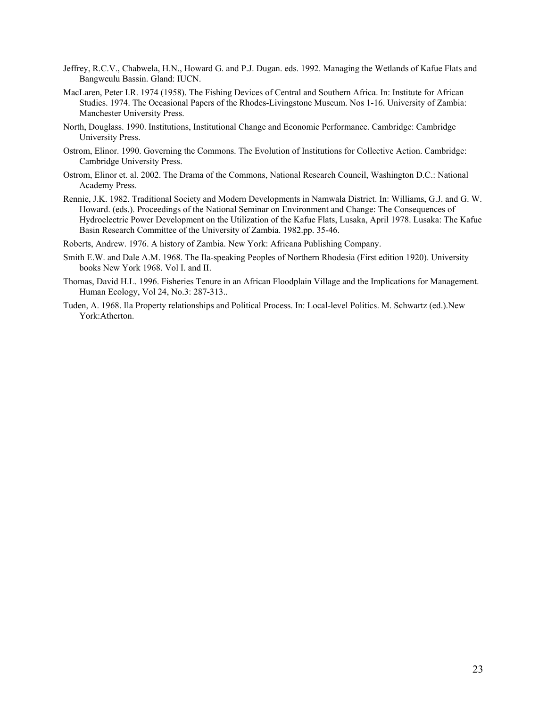- Jeffrey, R.C.V., Chabwela, H.N., Howard G. and P.J. Dugan. eds. 1992. Managing the Wetlands of Kafue Flats and Bangweulu Bassin. Gland: IUCN.
- MacLaren, Peter I.R. 1974 (1958). The Fishing Devices of Central and Southern Africa. In: Institute for African Studies. 1974. The Occasional Papers of the Rhodes-Livingstone Museum. Nos 1-16. University of Zambia: Manchester University Press.
- North, Douglass. 1990. Institutions, Institutional Change and Economic Performance. Cambridge: Cambridge University Press.
- Ostrom, Elinor. 1990. Governing the Commons. The Evolution of Institutions for Collective Action. Cambridge: Cambridge University Press.
- Ostrom, Elinor et. al. 2002. The Drama of the Commons, National Research Council, Washington D.C.: National Academy Press.
- Rennie, J.K. 1982. Traditional Society and Modern Developments in Namwala District. In: Williams, G.J. and G. W. Howard. (eds.). Proceedings of the National Seminar on Environment and Change: The Consequences of Hydroelectric Power Development on the Utilization of the Kafue Flats, Lusaka, April 1978. Lusaka: The Kafue Basin Research Committee of the University of Zambia. 1982.pp. 35-46.
- Roberts, Andrew. 1976. A history of Zambia. New York: Africana Publishing Company.
- Smith E.W. and Dale A.M. 1968. The Ila-speaking Peoples of Northern Rhodesia (First edition 1920). University books New York 1968. Vol I. and II.
- Thomas, David H.L. 1996. Fisheries Tenure in an African Floodplain Village and the Implications for Management. Human Ecology, Vol 24, No.3: 287-313..
- Tuden, A. 1968. Ila Property relationships and Political Process. In: Local-level Politics. M. Schwartz (ed.).New York:Atherton.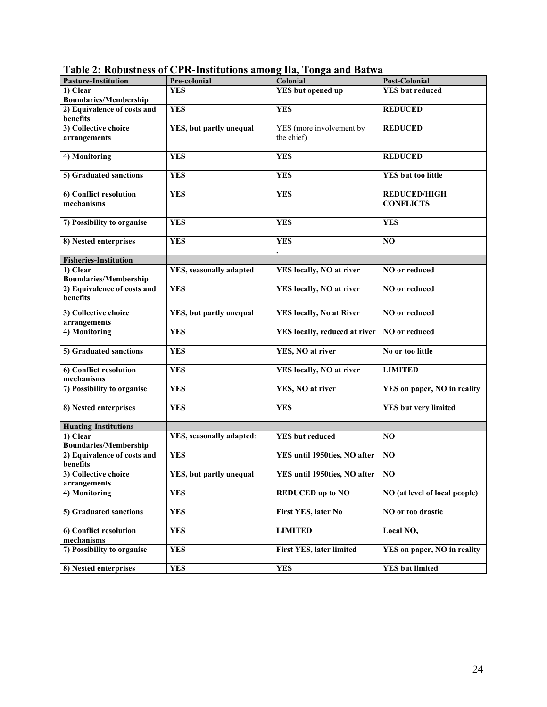| <b>Pasture-Institution</b>   | Pre-colonial                     | Colonial                        | <b>Post-Colonial</b>          |
|------------------------------|----------------------------------|---------------------------------|-------------------------------|
| 1) Clear                     | <b>YES</b>                       | YES but opened up               | <b>YES</b> but reduced        |
| <b>Boundaries/Membership</b> |                                  |                                 |                               |
| 2) Equivalence of costs and  | <b>YES</b>                       | <b>YES</b>                      | <b>REDUCED</b>                |
| benefits                     |                                  |                                 |                               |
| 3) Collective choice         | YES, but partly unequal          | YES (more involvement by        | <b>REDUCED</b>                |
| arrangements                 |                                  | the chief)                      |                               |
|                              |                                  |                                 |                               |
| 4) Monitoring                | <b>YES</b>                       | <b>YES</b>                      | <b>REDUCED</b>                |
|                              |                                  |                                 |                               |
| 5) Graduated sanctions       | <b>YES</b>                       | <b>YES</b>                      | <b>YES</b> but too little     |
|                              |                                  |                                 |                               |
| 6) Conflict resolution       | <b>YES</b>                       | <b>YES</b>                      | <b>REDUCED/HIGH</b>           |
| mechanisms                   |                                  |                                 | <b>CONFLICTS</b>              |
|                              |                                  |                                 |                               |
| 7) Possibility to organise   | <b>YES</b>                       | <b>YES</b>                      | <b>YES</b>                    |
|                              |                                  |                                 |                               |
| 8) Nested enterprises        | <b>YES</b>                       | <b>YES</b>                      | NO.                           |
|                              |                                  |                                 |                               |
| <b>Fisheries-Institution</b> |                                  |                                 |                               |
| 1) Clear                     | YES, seasonally adapted          | YES locally, NO at river        | NO or reduced                 |
| <b>Boundaries/Membership</b> |                                  |                                 |                               |
| 2) Equivalence of costs and  | <b>YES</b>                       | YES locally, NO at river        | NO or reduced                 |
| benefits                     |                                  |                                 |                               |
|                              |                                  |                                 |                               |
| 3) Collective choice         | YES, but partly unequal          | <b>YES locally, No at River</b> | NO or reduced                 |
| arrangements                 |                                  |                                 |                               |
| 4) Monitoring                | <b>YES</b>                       | YES locally, reduced at river   | NO or reduced                 |
|                              |                                  |                                 |                               |
| 5) Graduated sanctions       | <b>YES</b>                       | YES, NO at river                | No or too little              |
|                              |                                  |                                 |                               |
| 6) Conflict resolution       | <b>YES</b>                       | YES locally, NO at river        | <b>LIMITED</b>                |
| mechanisms                   |                                  |                                 |                               |
| 7) Possibility to organise   | <b>YES</b>                       | YES, NO at river                | YES on paper, NO in reality   |
|                              |                                  |                                 |                               |
| 8) Nested enterprises        | <b>YES</b>                       | <b>YES</b>                      | <b>YES</b> but very limited   |
|                              |                                  |                                 |                               |
| <b>Hunting-Institutions</b>  |                                  |                                 |                               |
| 1) Clear                     | <b>YES</b> , seasonally adapted: | <b>YES</b> but reduced          | NO                            |
| <b>Boundaries/Membership</b> |                                  |                                 |                               |
| 2) Equivalence of costs and  | <b>YES</b>                       | YES until 1950ties, NO after    | N <sub>O</sub>                |
| benefits                     |                                  |                                 |                               |
| 3) Collective choice         | YES, but partly unequal          | YES until 1950ties, NO after NO |                               |
| arrangements                 |                                  |                                 |                               |
| 4) Monitoring                | <b>YES</b>                       | <b>REDUCED</b> up to NO         | NO (at level of local people) |
|                              |                                  |                                 |                               |
| 5) Graduated sanctions       | <b>YES</b>                       | First YES, later No             | NO or too drastic             |
|                              |                                  |                                 |                               |
| 6) Conflict resolution       | <b>YES</b>                       | <b>LIMITED</b>                  | Local NO,                     |
| mechanisms                   |                                  |                                 |                               |
| 7) Possibility to organise   | <b>YES</b>                       | <b>First YES, later limited</b> | YES on paper, NO in reality   |
|                              |                                  |                                 |                               |
| 8) Nested enterprises        | <b>YES</b>                       | <b>YES</b>                      | <b>YES</b> but limited        |
|                              |                                  |                                 |                               |

**Table 2: Robustness of CPR-Institutions among Ila, Tonga and Batwa**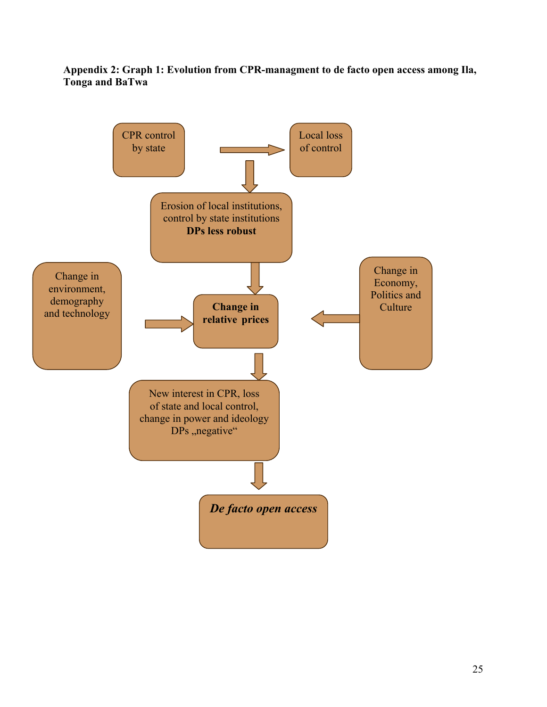**Appendix 2: Graph 1: Evolution from CPR-managment to de facto open access among Ila, Tonga and BaTwa**